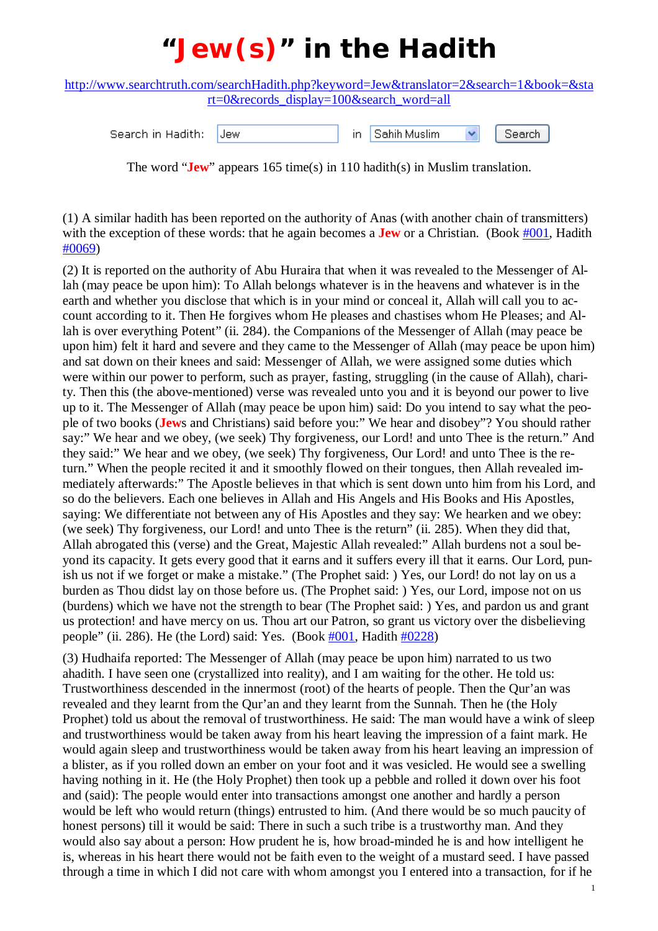## **"Jew(s)" in the Hadith**

http://www.searchtruth.com/searchHadith.php?keyword=Jew&translator=2&search=1&book=&sta rt=0&records\_display=100&search\_word=all

| Search in Hadith:<br>Jew. |  | Sahih Muslim |  |  |  |  |
|---------------------------|--|--------------|--|--|--|--|
|---------------------------|--|--------------|--|--|--|--|

The word "**Jew**" appears 165 time(s) in 110 hadith(s) in Muslim translation.

(1) A similar hadith has been reported on the authority of Anas (with another chain of transmitters) with the exception of these words: that he again becomes a **Jew** or a Christian. (Book  $\frac{\text{#001}}{\text{#001}}$ , Hadith #0069)

(2) It is reported on the authority of Abu Huraira that when it was revealed to the Messenger of Allah (may peace be upon him): To Allah belongs whatever is in the heavens and whatever is in the earth and whether you disclose that which is in your mind or conceal it, Allah will call you to account according to it. Then He forgives whom He pleases and chastises whom He Pleases; and Allah is over everything Potent" (ii. 284). the Companions of the Messenger of Allah (may peace be upon him) felt it hard and severe and they came to the Messenger of Allah (may peace be upon him) and sat down on their knees and said: Messenger of Allah, we were assigned some duties which were within our power to perform, such as prayer, fasting, struggling (in the cause of Allah), charity. Then this (the above-mentioned) verse was revealed unto you and it is beyond our power to live up to it. The Messenger of Allah (may peace be upon him) said: Do you intend to say what the people of two books (**Jew**s and Christians) said before you:" We hear and disobey"? You should rather say:" We hear and we obey, (we seek) Thy forgiveness, our Lord! and unto Thee is the return." And they said:" We hear and we obey, (we seek) Thy forgiveness, Our Lord! and unto Thee is the return." When the people recited it and it smoothly flowed on their tongues, then Allah revealed immediately afterwards:" The Apostle believes in that which is sent down unto him from his Lord, and so do the believers. Each one believes in Allah and His Angels and His Books and His Apostles, saying: We differentiate not between any of His Apostles and they say: We hearken and we obey: (we seek) Thy forgiveness, our Lord! and unto Thee is the return" (ii. 285). When they did that, Allah abrogated this (verse) and the Great, Majestic Allah revealed:" Allah burdens not a soul beyond its capacity. It gets every good that it earns and it suffers every ill that it earns. Our Lord, punish us not if we forget or make a mistake." (The Prophet said: ) Yes, our Lord! do not lay on us a burden as Thou didst lay on those before us. (The Prophet said: ) Yes, our Lord, impose not on us (burdens) which we have not the strength to bear (The Prophet said: ) Yes, and pardon us and grant us protection! and have mercy on us. Thou art our Patron, so grant us victory over the disbelieving people" (ii. 286). He (the Lord) said: Yes. (Book  $\#001$ , Hadith  $\#0228$ )

(3) Hudhaifa reported: The Messenger of Allah (may peace be upon him) narrated to us two ahadith. I have seen one (crystallized into reality), and I am waiting for the other. He told us: Trustworthiness descended in the innermost (root) of the hearts of people. Then the Qur'an was revealed and they learnt from the Qur'an and they learnt from the Sunnah. Then he (the Holy Prophet) told us about the removal of trustworthiness. He said: The man would have a wink of sleep and trustworthiness would be taken away from his heart leaving the impression of a faint mark. He would again sleep and trustworthiness would be taken away from his heart leaving an impression of a blister, as if you rolled down an ember on your foot and it was vesicled. He would see a swelling having nothing in it. He (the Holy Prophet) then took up a pebble and rolled it down over his foot and (said): The people would enter into transactions amongst one another and hardly a person would be left who would return (things) entrusted to him. (And there would be so much paucity of honest persons) till it would be said: There in such a such tribe is a trustworthy man. And they would also say about a person: How prudent he is, how broad-minded he is and how intelligent he is, whereas in his heart there would not be faith even to the weight of a mustard seed. I have passed through a time in which I did not care with whom amongst you I entered into a transaction, for if he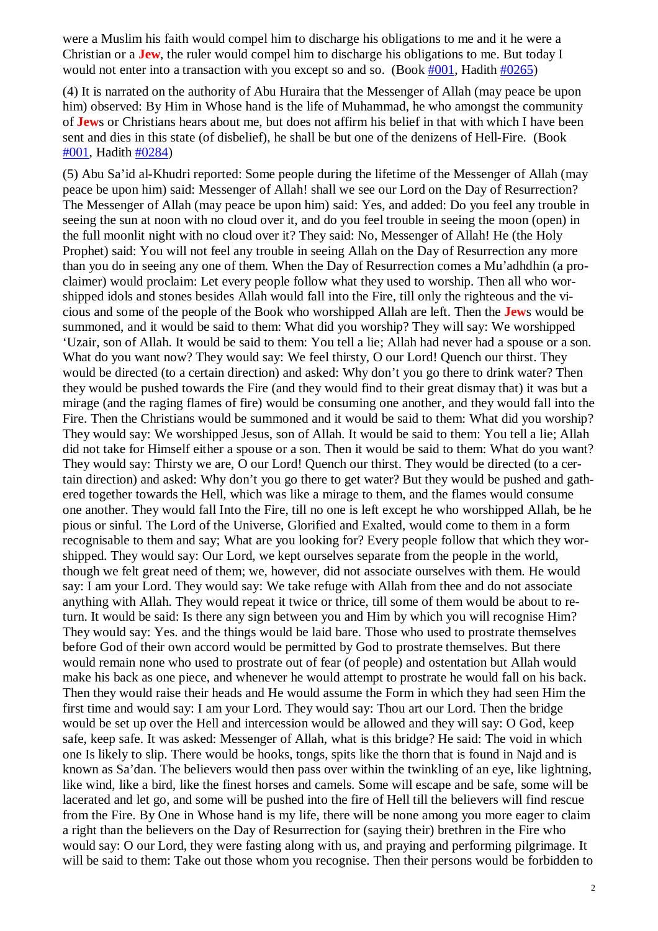were a Muslim his faith would compel him to discharge his obligations to me and it he were a Christian or a **Jew**, the ruler would compel him to discharge his obligations to me. But today I would not enter into a transaction with you except so and so. (Book  $\#001$ , Hadith  $\#0265$ )

(4) It is narrated on the authority of Abu Huraira that the Messenger of Allah (may peace be upon him) observed: By Him in Whose hand is the life of Muhammad, he who amongst the community of **Jew**s or Christians hears about me, but does not affirm his belief in that with which I have been sent and dies in this state (of disbelief), he shall be but one of the denizens of Hell-Fire. (Book #001, Hadith #0284)

(5) Abu Sa'id al-Khudri reported: Some people during the lifetime of the Messenger of Allah (may peace be upon him) said: Messenger of Allah! shall we see our Lord on the Day of Resurrection? The Messenger of Allah (may peace be upon him) said: Yes, and added: Do you feel any trouble in seeing the sun at noon with no cloud over it, and do you feel trouble in seeing the moon (open) in the full moonlit night with no cloud over it? They said: No, Messenger of Allah! He (the Holy Prophet) said: You will not feel any trouble in seeing Allah on the Day of Resurrection any more than you do in seeing any one of them. When the Day of Resurrection comes a Mu'adhdhin (a proclaimer) would proclaim: Let every people follow what they used to worship. Then all who worshipped idols and stones besides Allah would fall into the Fire, till only the righteous and the vicious and some of the people of the Book who worshipped Allah are left. Then the **Jew**s would be summoned, and it would be said to them: What did you worship? They will say: We worshipped 'Uzair, son of Allah. It would be said to them: You tell a lie; Allah had never had a spouse or a son. What do you want now? They would say: We feel thirsty, O our Lord! Quench our thirst. They would be directed (to a certain direction) and asked: Why don't you go there to drink water? Then they would be pushed towards the Fire (and they would find to their great dismay that) it was but a mirage (and the raging flames of fire) would be consuming one another, and they would fall into the Fire. Then the Christians would be summoned and it would be said to them: What did you worship? They would say: We worshipped Jesus, son of Allah. It would be said to them: You tell a lie; Allah did not take for Himself either a spouse or a son. Then it would be said to them: What do you want? They would say: Thirsty we are, O our Lord! Quench our thirst. They would be directed (to a certain direction) and asked: Why don't you go there to get water? But they would be pushed and gathered together towards the Hell, which was like a mirage to them, and the flames would consume one another. They would fall Into the Fire, till no one is left except he who worshipped Allah, be he pious or sinful. The Lord of the Universe, Glorified and Exalted, would come to them in a form recognisable to them and say; What are you looking for? Every people follow that which they worshipped. They would say: Our Lord, we kept ourselves separate from the people in the world, though we felt great need of them; we, however, did not associate ourselves with them. He would say: I am your Lord. They would say: We take refuge with Allah from thee and do not associate anything with Allah. They would repeat it twice or thrice, till some of them would be about to return. It would be said: Is there any sign between you and Him by which you will recognise Him? They would say: Yes. and the things would be laid bare. Those who used to prostrate themselves before God of their own accord would be permitted by God to prostrate themselves. But there would remain none who used to prostrate out of fear (of people) and ostentation but Allah would make his back as one piece, and whenever he would attempt to prostrate he would fall on his back. Then they would raise their heads and He would assume the Form in which they had seen Him the first time and would say: I am your Lord. They would say: Thou art our Lord. Then the bridge would be set up over the Hell and intercession would be allowed and they will say: O God, keep safe, keep safe. It was asked: Messenger of Allah, what is this bridge? He said: The void in which one Is likely to slip. There would be hooks, tongs, spits like the thorn that is found in Najd and is known as Sa'dan. The believers would then pass over within the twinkling of an eye, like lightning, like wind, like a bird, like the finest horses and camels. Some will escape and be safe, some will be lacerated and let go, and some will be pushed into the fire of Hell till the believers will find rescue from the Fire. By One in Whose hand is my life, there will be none among you more eager to claim a right than the believers on the Day of Resurrection for (saying their) brethren in the Fire who would say: O our Lord, they were fasting along with us, and praying and performing pilgrimage. It will be said to them: Take out those whom you recognise. Then their persons would be forbidden to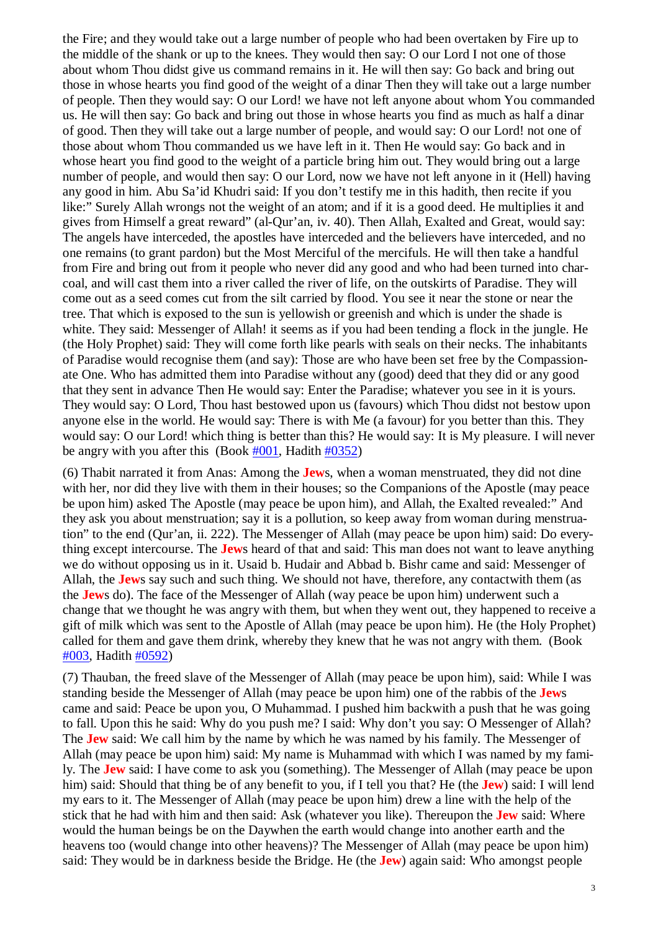the Fire; and they would take out a large number of people who had been overtaken by Fire up to the middle of the shank or up to the knees. They would then say: O our Lord I not one of those about whom Thou didst give us command remains in it. He will then say: Go back and bring out those in whose hearts you find good of the weight of a dinar Then they will take out a large number of people. Then they would say: O our Lord! we have not left anyone about whom You commanded us. He will then say: Go back and bring out those in whose hearts you find as much as half a dinar of good. Then they will take out a large number of people, and would say: O our Lord! not one of those about whom Thou commanded us we have left in it. Then He would say: Go back and in whose heart you find good to the weight of a particle bring him out. They would bring out a large number of people, and would then say: O our Lord, now we have not left anyone in it (Hell) having any good in him. Abu Sa'id Khudri said: If you don't testify me in this hadith, then recite if you like:" Surely Allah wrongs not the weight of an atom; and if it is a good deed. He multiplies it and gives from Himself a great reward" (al-Qur'an, iv. 40). Then Allah, Exalted and Great, would say: The angels have interceded, the apostles have interceded and the believers have interceded, and no one remains (to grant pardon) but the Most Merciful of the mercifuls. He will then take a handful from Fire and bring out from it people who never did any good and who had been turned into charcoal, and will cast them into a river called the river of life, on the outskirts of Paradise. They will come out as a seed comes cut from the silt carried by flood. You see it near the stone or near the tree. That which is exposed to the sun is yellowish or greenish and which is under the shade is white. They said: Messenger of Allah! it seems as if you had been tending a flock in the jungle. He (the Holy Prophet) said: They will come forth like pearls with seals on their necks. The inhabitants of Paradise would recognise them (and say): Those are who have been set free by the Compassionate One. Who has admitted them into Paradise without any (good) deed that they did or any good that they sent in advance Then He would say: Enter the Paradise; whatever you see in it is yours. They would say: O Lord, Thou hast bestowed upon us (favours) which Thou didst not bestow upon anyone else in the world. He would say: There is with Me (a favour) for you better than this. They would say: O our Lord! which thing is better than this? He would say: It is My pleasure. I will never be angry with you after this (Book  $\frac{\text{\#001}}{\text{\#00352}}$ )

(6) Thabit narrated it from Anas: Among the **Jew**s, when a woman menstruated, they did not dine with her, nor did they live with them in their houses; so the Companions of the Apostle (may peace be upon him) asked The Apostle (may peace be upon him), and Allah, the Exalted revealed:" And they ask you about menstruation; say it is a pollution, so keep away from woman during menstruation" to the end (Qur'an, ii. 222). The Messenger of Allah (may peace be upon him) said: Do everything except intercourse. The **Jew**s heard of that and said: This man does not want to leave anything we do without opposing us in it. Usaid b. Hudair and Abbad b. Bishr came and said: Messenger of Allah, the **Jew**s say such and such thing. We should not have, therefore, any contactwith them (as the **Jew**s do). The face of the Messenger of Allah (way peace be upon him) underwent such a change that we thought he was angry with them, but when they went out, they happened to receive a gift of milk which was sent to the Apostle of Allah (may peace be upon him). He (the Holy Prophet) called for them and gave them drink, whereby they knew that he was not angry with them. (Book #003, Hadith #0592)

(7) Thauban, the freed slave of the Messenger of Allah (may peace be upon him), said: While I was standing beside the Messenger of Allah (may peace be upon him) one of the rabbis of the **Jew**s came and said: Peace be upon you, O Muhammad. I pushed him backwith a push that he was going to fall. Upon this he said: Why do you push me? I said: Why don't you say: O Messenger of Allah? The **Jew** said: We call him by the name by which he was named by his family. The Messenger of Allah (may peace be upon him) said: My name is Muhammad with which I was named by my family. The **Jew** said: I have come to ask you (something). The Messenger of Allah (may peace be upon him) said: Should that thing be of any benefit to you, if I tell you that? He (the **Jew**) said: I will lend my ears to it. The Messenger of Allah (may peace be upon him) drew a line with the help of the stick that he had with him and then said: Ask (whatever you like). Thereupon the **Jew** said: Where would the human beings be on the Daywhen the earth would change into another earth and the heavens too (would change into other heavens)? The Messenger of Allah (may peace be upon him) said: They would be in darkness beside the Bridge. He (the **Jew**) again said: Who amongst people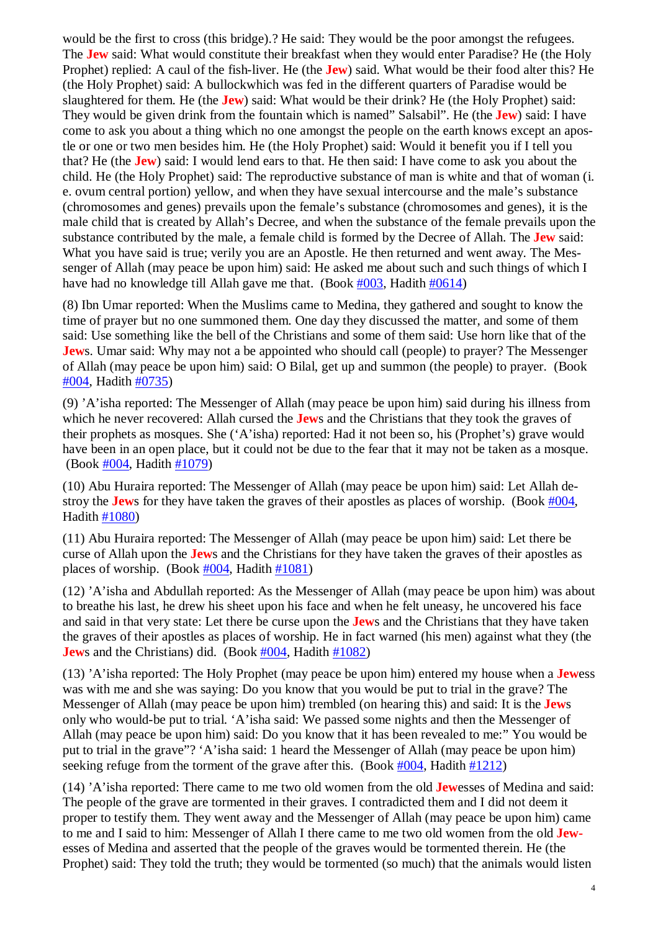would be the first to cross (this bridge).? He said: They would be the poor amongst the refugees. The **Jew** said: What would constitute their breakfast when they would enter Paradise? He (the Holy Prophet) replied: A caul of the fish-liver. He (the **Jew**) said. What would be their food alter this? He (the Holy Prophet) said: A bullockwhich was fed in the different quarters of Paradise would be slaughtered for them. He (the **Jew**) said: What would be their drink? He (the Holy Prophet) said: They would be given drink from the fountain which is named" Salsabil". He (the **Jew**) said: I have come to ask you about a thing which no one amongst the people on the earth knows except an apostle or one or two men besides him. He (the Holy Prophet) said: Would it benefit you if I tell you that? He (the **Jew**) said: I would lend ears to that. He then said: I have come to ask you about the child. He (the Holy Prophet) said: The reproductive substance of man is white and that of woman (i. e. ovum central portion) yellow, and when they have sexual intercourse and the male's substance (chromosomes and genes) prevails upon the female's substance (chromosomes and genes), it is the male child that is created by Allah's Decree, and when the substance of the female prevails upon the substance contributed by the male, a female child is formed by the Decree of Allah. The **Jew** said: What you have said is true; verily you are an Apostle. He then returned and went away. The Messenger of Allah (may peace be upon him) said: He asked me about such and such things of which I have had no knowledge till Allah gave me that. (Book  $\frac{\text{\#003}}{\text{\#003}}$ , Hadith  $\frac{\text{\#0614}}{\text{\#0614}}$ )

(8) Ibn Umar reported: When the Muslims came to Medina, they gathered and sought to know the time of prayer but no one summoned them. One day they discussed the matter, and some of them said: Use something like the bell of the Christians and some of them said: Use horn like that of the **Jew**s. Umar said: Why may not a be appointed who should call (people) to prayer? The Messenger of Allah (may peace be upon him) said: O Bilal, get up and summon (the people) to prayer. (Book #004, Hadith #0735)

(9) 'A'isha reported: The Messenger of Allah (may peace be upon him) said during his illness from which he never recovered: Allah cursed the **Jew**s and the Christians that they took the graves of their prophets as mosques. She ('A'isha) reported: Had it not been so, his (Prophet's) grave would have been in an open place, but it could not be due to the fear that it may not be taken as a mosque. (Book #004, Hadith #1079)

(10) Abu Huraira reported: The Messenger of Allah (may peace be upon him) said: Let Allah destroy the **Jew**s for they have taken the graves of their apostles as places of worship. (Book #004, Hadith #1080)

(11) Abu Huraira reported: The Messenger of Allah (may peace be upon him) said: Let there be curse of Allah upon the **Jew**s and the Christians for they have taken the graves of their apostles as places of worship. (Book #004, Hadith #1081)

(12) 'A'isha and Abdullah reported: As the Messenger of Allah (may peace be upon him) was about to breathe his last, he drew his sheet upon his face and when he felt uneasy, he uncovered his face and said in that very state: Let there be curse upon the **Jew**s and the Christians that they have taken the graves of their apostles as places of worship. He in fact warned (his men) against what they (the **Jew**s and the Christians) did. (Book #004, Hadith #1082)

(13) 'A'isha reported: The Holy Prophet (may peace be upon him) entered my house when a **Jew**ess was with me and she was saying: Do you know that you would be put to trial in the grave? The Messenger of Allah (may peace be upon him) trembled (on hearing this) and said: It is the **Jew**s only who would-be put to trial. 'A'isha said: We passed some nights and then the Messenger of Allah (may peace be upon him) said: Do you know that it has been revealed to me:" You would be put to trial in the grave"? 'A'isha said: 1 heard the Messenger of Allah (may peace be upon him) seeking refuge from the torment of the grave after this. (Book #004, Hadith #1212)

(14) 'A'isha reported: There came to me two old women from the old **Jew**esses of Medina and said: The people of the grave are tormented in their graves. I contradicted them and I did not deem it proper to testify them. They went away and the Messenger of Allah (may peace be upon him) came to me and I said to him: Messenger of Allah I there came to me two old women from the old **Jew**esses of Medina and asserted that the people of the graves would be tormented therein. He (the Prophet) said: They told the truth; they would be tormented (so much) that the animals would listen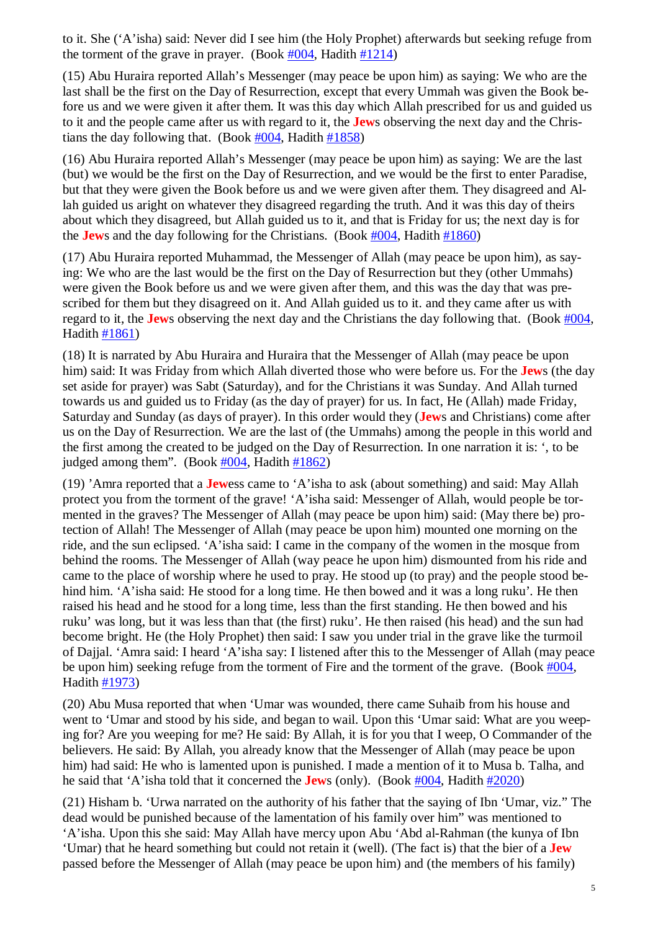to it. She ('A'isha) said: Never did I see him (the Holy Prophet) afterwards but seeking refuge from the torment of the grave in prayer. (Book  $\#004$ , Hadith  $\#1214$ )

(15) Abu Huraira reported Allah's Messenger (may peace be upon him) as saying: We who are the last shall be the first on the Day of Resurrection, except that every Ummah was given the Book before us and we were given it after them. It was this day which Allah prescribed for us and guided us to it and the people came after us with regard to it, the **Jew**s observing the next day and the Christians the day following that. (Book  $\#004$ , Hadith  $\#1858$ )

(16) Abu Huraira reported Allah's Messenger (may peace be upon him) as saying: We are the last (but) we would be the first on the Day of Resurrection, and we would be the first to enter Paradise, but that they were given the Book before us and we were given after them. They disagreed and Allah guided us aright on whatever they disagreed regarding the truth. And it was this day of theirs about which they disagreed, but Allah guided us to it, and that is Friday for us; the next day is for the **Jew**s and the day following for the Christians. (Book  $\#004$ , Hadith  $\#1860$ )

(17) Abu Huraira reported Muhammad, the Messenger of Allah (may peace be upon him), as saying: We who are the last would be the first on the Day of Resurrection but they (other Ummahs) were given the Book before us and we were given after them, and this was the day that was prescribed for them but they disagreed on it. And Allah guided us to it. and they came after us with regard to it, the **Jew**s observing the next day and the Christians the day following that. (Book #004, Hadith #1861)

(18) It is narrated by Abu Huraira and Huraira that the Messenger of Allah (may peace be upon him) said: It was Friday from which Allah diverted those who were before us. For the **Jew**s (the day set aside for prayer) was Sabt (Saturday), and for the Christians it was Sunday. And Allah turned towards us and guided us to Friday (as the day of prayer) for us. In fact, He (Allah) made Friday, Saturday and Sunday (as days of prayer). In this order would they (**Jew**s and Christians) come after us on the Day of Resurrection. We are the last of (the Ummahs) among the people in this world and the first among the created to be judged on the Day of Resurrection. In one narration it is: ', to be judged among them". (Book #004, Hadith #1862)

(19) 'Amra reported that a **Jew**ess came to 'A'isha to ask (about something) and said: May Allah protect you from the torment of the grave! 'A'isha said: Messenger of Allah, would people be tormented in the graves? The Messenger of Allah (may peace be upon him) said: (May there be) protection of Allah! The Messenger of Allah (may peace be upon him) mounted one morning on the ride, and the sun eclipsed. 'A'isha said: I came in the company of the women in the mosque from behind the rooms. The Messenger of Allah (way peace he upon him) dismounted from his ride and came to the place of worship where he used to pray. He stood up (to pray) and the people stood behind him. 'A'isha said: He stood for a long time. He then bowed and it was a long ruku'. He then raised his head and he stood for a long time, less than the first standing. He then bowed and his ruku' was long, but it was less than that (the first) ruku'. He then raised (his head) and the sun had become bright. He (the Holy Prophet) then said: I saw you under trial in the grave like the turmoil of Dajjal. 'Amra said: I heard 'A'isha say: I listened after this to the Messenger of Allah (may peace be upon him) seeking refuge from the torment of Fire and the torment of the grave. (Book #004, Hadith #1973)

(20) Abu Musa reported that when 'Umar was wounded, there came Suhaib from his house and went to 'Umar and stood by his side, and began to wail. Upon this 'Umar said: What are you weeping for? Are you weeping for me? He said: By Allah, it is for you that I weep, O Commander of the believers. He said: By Allah, you already know that the Messenger of Allah (may peace be upon him) had said: He who is lamented upon is punished. I made a mention of it to Musa b. Talha, and he said that 'A'isha told that it concerned the **Jew**s (only). (Book #004, Hadith #2020)

(21) Hisham b. 'Urwa narrated on the authority of his father that the saying of Ibn 'Umar, viz." The dead would be punished because of the lamentation of his family over him" was mentioned to 'A'isha. Upon this she said: May Allah have mercy upon Abu 'Abd al-Rahman (the kunya of Ibn 'Umar) that he heard something but could not retain it (well). (The fact is) that the bier of a **Jew** passed before the Messenger of Allah (may peace be upon him) and (the members of his family)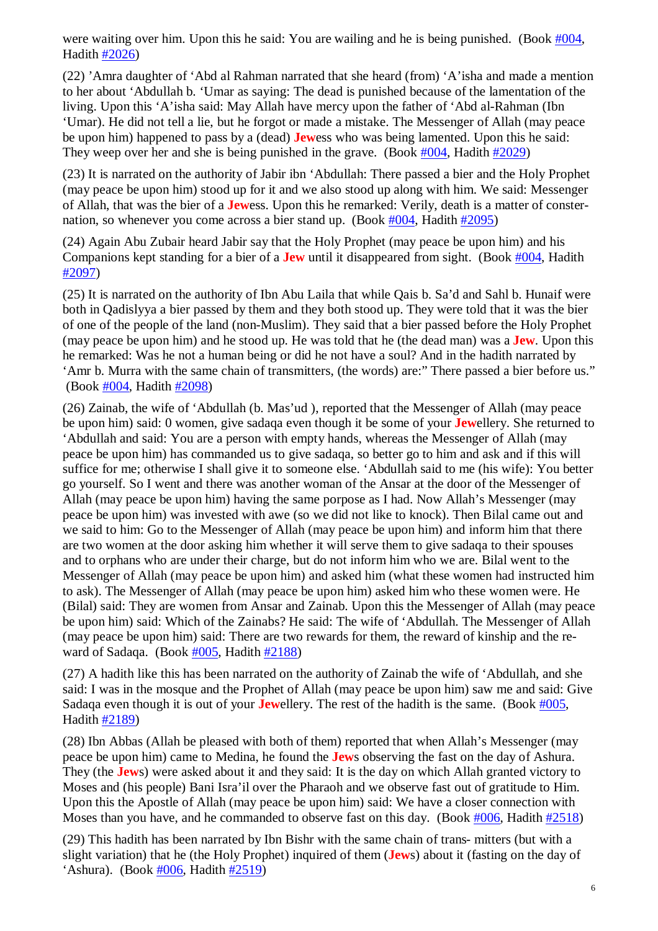were waiting over him. Upon this he said: You are wailing and he is being punished. (Book #004, Hadith #2026)

(22) 'Amra daughter of 'Abd al Rahman narrated that she heard (from) 'A'isha and made a mention to her about 'Abdullah b. 'Umar as saying: The dead is punished because of the lamentation of the living. Upon this 'A'isha said: May Allah have mercy upon the father of 'Abd al-Rahman (Ibn 'Umar). He did not tell a lie, but he forgot or made a mistake. The Messenger of Allah (may peace be upon him) happened to pass by a (dead) **Jew**ess who was being lamented. Upon this he said: They weep over her and she is being punished in the grave. (Book  $\#004$ , Hadith  $\#2029$ )

(23) It is narrated on the authority of Jabir ibn 'Abdullah: There passed a bier and the Holy Prophet (may peace be upon him) stood up for it and we also stood up along with him. We said: Messenger of Allah, that was the bier of a **Jew**ess. Upon this he remarked: Verily, death is a matter of consternation, so whenever you come across a bier stand up. (Book #004, Hadith #2095)

(24) Again Abu Zubair heard Jabir say that the Holy Prophet (may peace be upon him) and his Companions kept standing for a bier of a **Jew** until it disappeared from sight. (Book #004, Hadith #2097)

(25) It is narrated on the authority of Ibn Abu Laila that while Qais b. Sa'd and Sahl b. Hunaif were both in Qadislyya a bier passed by them and they both stood up. They were told that it was the bier of one of the people of the land (non-Muslim). They said that a bier passed before the Holy Prophet (may peace be upon him) and he stood up. He was told that he (the dead man) was a **Jew**. Upon this he remarked: Was he not a human being or did he not have a soul? And in the hadith narrated by 'Amr b. Murra with the same chain of transmitters, (the words) are:" There passed a bier before us." (Book #004, Hadith #2098)

(26) Zainab, the wife of 'Abdullah (b. Mas'ud ), reported that the Messenger of Allah (may peace be upon him) said: 0 women, give sadaqa even though it be some of your **Jew**ellery. She returned to 'Abdullah and said: You are a person with empty hands, whereas the Messenger of Allah (may peace be upon him) has commanded us to give sadaqa, so better go to him and ask and if this will suffice for me; otherwise I shall give it to someone else. 'Abdullah said to me (his wife): You better go yourself. So I went and there was another woman of the Ansar at the door of the Messenger of Allah (may peace be upon him) having the same porpose as I had. Now Allah's Messenger (may peace be upon him) was invested with awe (so we did not like to knock). Then Bilal came out and we said to him: Go to the Messenger of Allah (may peace be upon him) and inform him that there are two women at the door asking him whether it will serve them to give sadaqa to their spouses and to orphans who are under their charge, but do not inform him who we are. Bilal went to the Messenger of Allah (may peace be upon him) and asked him (what these women had instructed him to ask). The Messenger of Allah (may peace be upon him) asked him who these women were. He (Bilal) said: They are women from Ansar and Zainab. Upon this the Messenger of Allah (may peace be upon him) said: Which of the Zainabs? He said: The wife of 'Abdullah. The Messenger of Allah (may peace be upon him) said: There are two rewards for them, the reward of kinship and the reward of Sadaqa. (Book #005, Hadith #2188)

(27) A hadith like this has been narrated on the authority of Zainab the wife of 'Abdullah, and she said: I was in the mosque and the Prophet of Allah (may peace be upon him) saw me and said: Give Sadaqa even though it is out of your **Jew**ellery. The rest of the hadith is the same. (Book  $\frac{\text{H005}}{\text{H005}}$ , Hadith #2189)

(28) Ibn Abbas (Allah be pleased with both of them) reported that when Allah's Messenger (may peace be upon him) came to Medina, he found the **Jew**s observing the fast on the day of Ashura. They (the **Jew**s) were asked about it and they said: It is the day on which Allah granted victory to Moses and (his people) Bani Isra'il over the Pharaoh and we observe fast out of gratitude to Him. Upon this the Apostle of Allah (may peace be upon him) said: We have a closer connection with Moses than you have, and he commanded to observe fast on this day. (Book  $\#006$ , Hadith  $\#2518$ )

(29) This hadith has been narrated by Ibn Bishr with the same chain of trans- mitters (but with a slight variation) that he (the Holy Prophet) inquired of them (**Jew**s) about it (fasting on the day of 'Ashura). (Book  $\frac{\text{\#006}}{\text{\#006}}$ , Hadith  $\frac{\text{\#2519}}{\text{\#2519}}$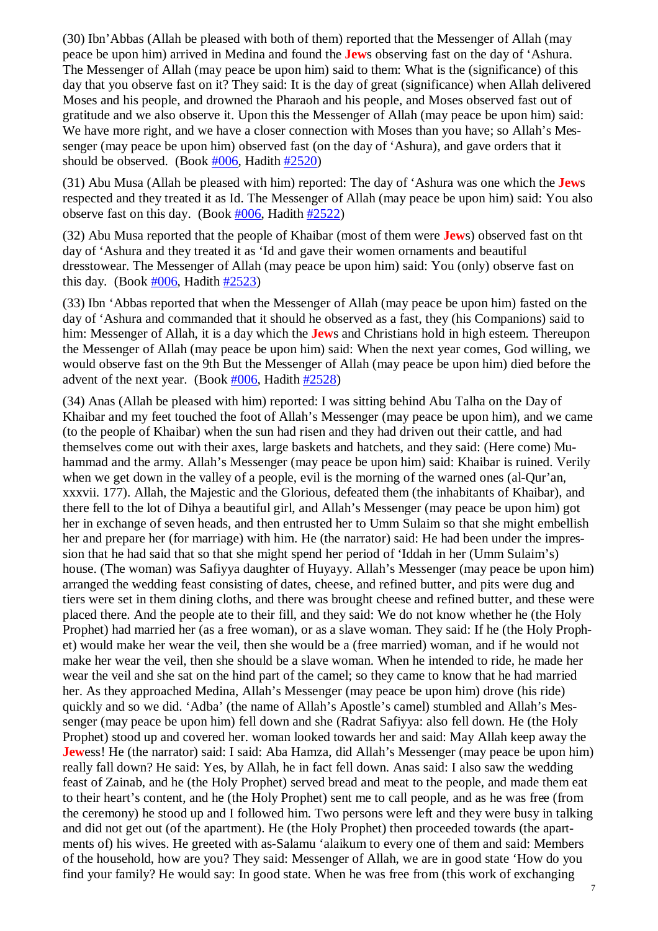(30) Ibn'Abbas (Allah be pleased with both of them) reported that the Messenger of Allah (may peace be upon him) arrived in Medina and found the **Jew**s observing fast on the day of 'Ashura. The Messenger of Allah (may peace be upon him) said to them: What is the (significance) of this day that you observe fast on it? They said: It is the day of great (significance) when Allah delivered Moses and his people, and drowned the Pharaoh and his people, and Moses observed fast out of gratitude and we also observe it. Upon this the Messenger of Allah (may peace be upon him) said: We have more right, and we have a closer connection with Moses than you have; so Allah's Messenger (may peace be upon him) observed fast (on the day of 'Ashura), and gave orders that it should be observed. (Book #006, Hadith #2520)

(31) Abu Musa (Allah be pleased with him) reported: The day of 'Ashura was one which the **Jew**s respected and they treated it as Id. The Messenger of Allah (may peace be upon him) said: You also observe fast on this day. (Book  $\text{\#006}$ , Hadith  $\text{\#2522}$ )

(32) Abu Musa reported that the people of Khaibar (most of them were **Jew**s) observed fast on tht day of 'Ashura and they treated it as 'Id and gave their women ornaments and beautiful dresstowear. The Messenger of Allah (may peace be upon him) said: You (only) observe fast on this day. (Book  $\#006$ , Hadith  $\#2523$ )

(33) Ibn 'Abbas reported that when the Messenger of Allah (may peace be upon him) fasted on the day of 'Ashura and commanded that it should he observed as a fast, they (his Companions) said to him: Messenger of Allah, it is a day which the **Jew**s and Christians hold in high esteem. Thereupon the Messenger of Allah (may peace be upon him) said: When the next year comes, God willing, we would observe fast on the 9th But the Messenger of Allah (may peace be upon him) died before the advent of the next year. (Book  $\frac{\text{\#006}}{\text{\#006}}$ , Hadith  $\frac{\text{\#2528}}{\text{\#2528}}$ )

(34) Anas (Allah be pleased with him) reported: I was sitting behind Abu Talha on the Day of Khaibar and my feet touched the foot of Allah's Messenger (may peace be upon him), and we came (to the people of Khaibar) when the sun had risen and they had driven out their cattle, and had themselves come out with their axes, large baskets and hatchets, and they said: (Here come) Muhammad and the army. Allah's Messenger (may peace be upon him) said: Khaibar is ruined. Verily when we get down in the valley of a people, evil is the morning of the warned ones (al-Qur'an, xxxvii. 177). Allah, the Majestic and the Glorious, defeated them (the inhabitants of Khaibar), and there fell to the lot of Dihya a beautiful girl, and Allah's Messenger (may peace be upon him) got her in exchange of seven heads, and then entrusted her to Umm Sulaim so that she might embellish her and prepare her (for marriage) with him. He (the narrator) said: He had been under the impression that he had said that so that she might spend her period of 'Iddah in her (Umm Sulaim's) house. (The woman) was Safiyya daughter of Huyayy. Allah's Messenger (may peace be upon him) arranged the wedding feast consisting of dates, cheese, and refined butter, and pits were dug and tiers were set in them dining cloths, and there was brought cheese and refined butter, and these were placed there. And the people ate to their fill, and they said: We do not know whether he (the Holy Prophet) had married her (as a free woman), or as a slave woman. They said: If he (the Holy Prophet) would make her wear the veil, then she would be a (free married) woman, and if he would not make her wear the veil, then she should be a slave woman. When he intended to ride, he made her wear the veil and she sat on the hind part of the camel; so they came to know that he had married her. As they approached Medina, Allah's Messenger (may peace be upon him) drove (his ride) quickly and so we did. 'Adba' (the name of Allah's Apostle's camel) stumbled and Allah's Messenger (may peace be upon him) fell down and she (Radrat Safiyya: also fell down. He (the Holy Prophet) stood up and covered her. woman looked towards her and said: May Allah keep away the **Jewess!** He (the narrator) said: I said: Aba Hamza, did Allah's Messenger (may peace be upon him) really fall down? He said: Yes, by Allah, he in fact fell down. Anas said: I also saw the wedding feast of Zainab, and he (the Holy Prophet) served bread and meat to the people, and made them eat to their heart's content, and he (the Holy Prophet) sent me to call people, and as he was free (from the ceremony) he stood up and I followed him. Two persons were left and they were busy in talking and did not get out (of the apartment). He (the Holy Prophet) then proceeded towards (the apartments of) his wives. He greeted with as-Salamu 'alaikum to every one of them and said: Members of the household, how are you? They said: Messenger of Allah, we are in good state 'How do you find your family? He would say: In good state. When he was free from (this work of exchanging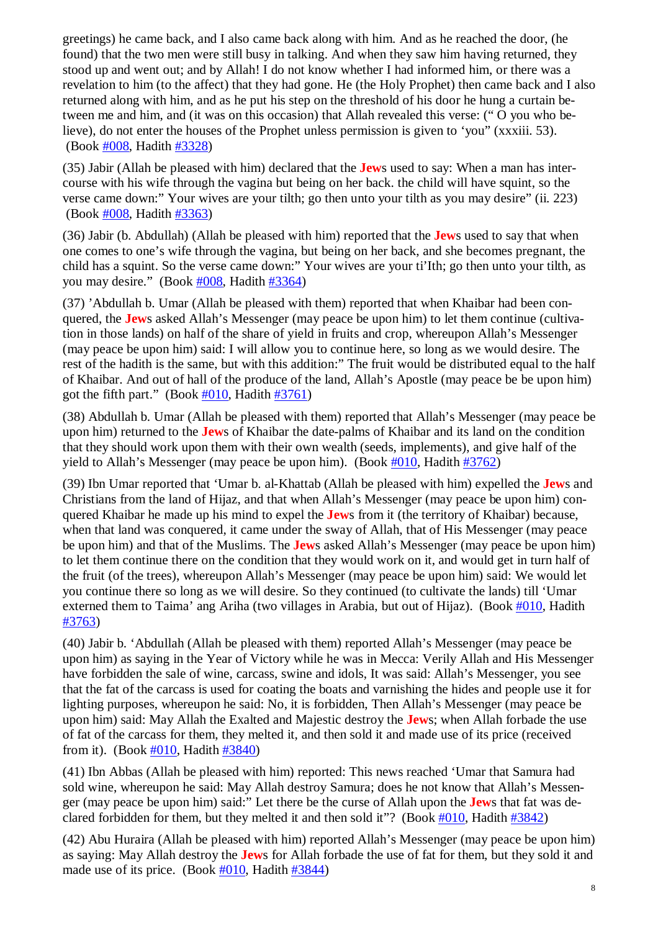greetings) he came back, and I also came back along with him. And as he reached the door, (he found) that the two men were still busy in talking. And when they saw him having returned, they stood up and went out; and by Allah! I do not know whether I had informed him, or there was a revelation to him (to the affect) that they had gone. He (the Holy Prophet) then came back and I also returned along with him, and as he put his step on the threshold of his door he hung a curtain between me and him, and (it was on this occasion) that Allah revealed this verse: (" O you who believe), do not enter the houses of the Prophet unless permission is given to 'you" (xxxiii. 53). (Book #008, Hadith #3328)

(35) Jabir (Allah be pleased with him) declared that the **Jew**s used to say: When a man has intercourse with his wife through the vagina but being on her back. the child will have squint, so the verse came down:" Your wives are your tilth; go then unto your tilth as you may desire" (ii. 223) (Book #008, Hadith #3363)

(36) Jabir (b. Abdullah) (Allah be pleased with him) reported that the **Jew**s used to say that when one comes to one's wife through the vagina, but being on her back, and she becomes pregnant, the child has a squint. So the verse came down:" Your wives are your ti'Ith; go then unto your tilth, as you may desire." (Book #008, Hadith #3364)

(37) 'Abdullah b. Umar (Allah be pleased with them) reported that when Khaibar had been conquered, the **Jew**s asked Allah's Messenger (may peace be upon him) to let them continue (cultivation in those lands) on half of the share of yield in fruits and crop, whereupon Allah's Messenger (may peace be upon him) said: I will allow you to continue here, so long as we would desire. The rest of the hadith is the same, but with this addition:" The fruit would be distributed equal to the half of Khaibar. And out of hall of the produce of the land, Allah's Apostle (may peace be be upon him) got the fifth part." (Book  $\#010$ , Hadith  $\#3761$ )

(38) Abdullah b. Umar (Allah be pleased with them) reported that Allah's Messenger (may peace be upon him) returned to the **Jew**s of Khaibar the date-palms of Khaibar and its land on the condition that they should work upon them with their own wealth (seeds, implements), and give half of the yield to Allah's Messenger (may peace be upon him). (Book #010, Hadith #3762)

(39) Ibn Umar reported that 'Umar b. al-Khattab (Allah be pleased with him) expelled the **Jew**s and Christians from the land of Hijaz, and that when Allah's Messenger (may peace be upon him) conquered Khaibar he made up his mind to expel the **Jew**s from it (the territory of Khaibar) because, when that land was conquered, it came under the sway of Allah, that of His Messenger (may peace be upon him) and that of the Muslims. The **Jew**s asked Allah's Messenger (may peace be upon him) to let them continue there on the condition that they would work on it, and would get in turn half of the fruit (of the trees), whereupon Allah's Messenger (may peace be upon him) said: We would let you continue there so long as we will desire. So they continued (to cultivate the lands) till 'Umar externed them to Taima' ang Ariha (two villages in Arabia, but out of Hijaz). (Book  $\frac{\#010}{}$ , Hadith #3763)

(40) Jabir b. 'Abdullah (Allah be pleased with them) reported Allah's Messenger (may peace be upon him) as saying in the Year of Victory while he was in Mecca: Verily Allah and His Messenger have forbidden the sale of wine, carcass, swine and idols, It was said: Allah's Messenger, you see that the fat of the carcass is used for coating the boats and varnishing the hides and people use it for lighting purposes, whereupon he said: No, it is forbidden, Then Allah's Messenger (may peace be upon him) said: May Allah the Exalted and Majestic destroy the **Jew**s; when Allah forbade the use of fat of the carcass for them, they melted it, and then sold it and made use of its price (received from it). (Book  $\frac{\text{\#010}}{\text{\#010}}$ , Hadith  $\frac{\text{\#3840}}{\text{\#010}}$ 

(41) Ibn Abbas (Allah be pleased with him) reported: This news reached 'Umar that Samura had sold wine, whereupon he said: May Allah destroy Samura; does he not know that Allah's Messenger (may peace be upon him) said:" Let there be the curse of Allah upon the **Jew**s that fat was declared forbidden for them, but they melted it and then sold it"? (Book  $\#010$ , Hadith  $\#3842$ )

(42) Abu Huraira (Allah be pleased with him) reported Allah's Messenger (may peace be upon him) as saying: May Allah destroy the **Jew**s for Allah forbade the use of fat for them, but they sold it and made use of its price. (Book  $\frac{\text{\#010}}{\text{\#010}}$ , Hadith  $\frac{\text{\#3844}}{\text{\#3844}}$ )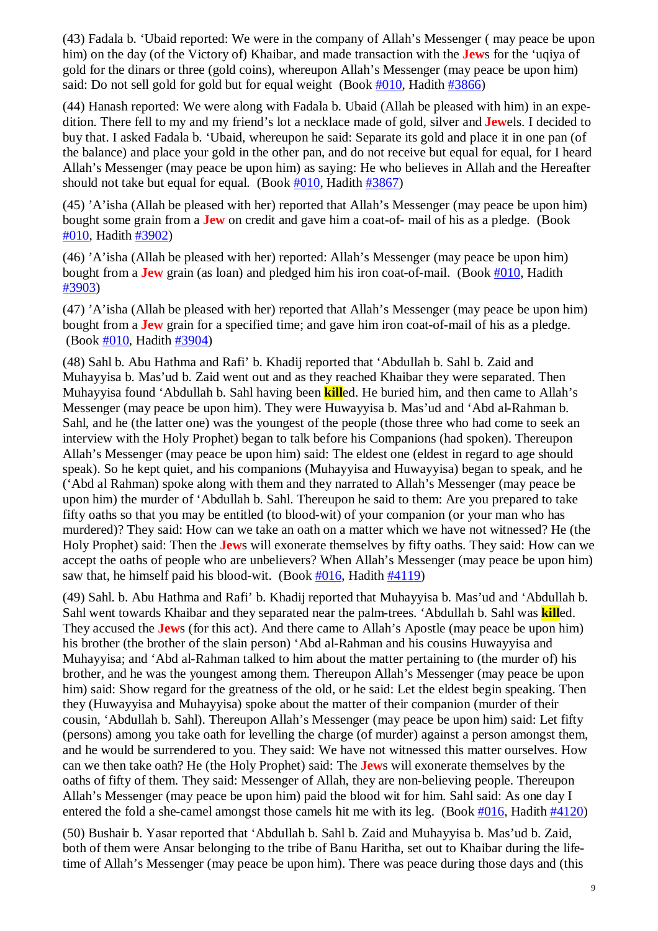(43) Fadala b. 'Ubaid reported: We were in the company of Allah's Messenger ( may peace be upon him) on the day (of the Victory of) Khaibar, and made transaction with the **Jew**s for the 'uqiya of gold for the dinars or three (gold coins), whereupon Allah's Messenger (may peace be upon him) said: Do not sell gold for gold but for equal weight (Book  $\#010$ , Hadith  $\#3866$ )

(44) Hanash reported: We were along with Fadala b. Ubaid (Allah be pleased with him) in an expedition. There fell to my and my friend's lot a necklace made of gold, silver and **Jew**els. I decided to buy that. I asked Fadala b. 'Ubaid, whereupon he said: Separate its gold and place it in one pan (of the balance) and place your gold in the other pan, and do not receive but equal for equal, for I heard Allah's Messenger (may peace be upon him) as saying: He who believes in Allah and the Hereafter should not take but equal for equal. (Book  $\#010$ , Hadith  $\#3867$ )

(45) 'A'isha (Allah be pleased with her) reported that Allah's Messenger (may peace be upon him) bought some grain from a **Jew** on credit and gave him a coat-of- mail of his as a pledge. (Book #010, Hadith #3902)

(46) 'A'isha (Allah be pleased with her) reported: Allah's Messenger (may peace be upon him) bought from a **Jew** grain (as loan) and pledged him his iron coat-of-mail. (Book #010, Hadith #3903)

(47) 'A'isha (Allah be pleased with her) reported that Allah's Messenger (may peace be upon him) bought from a **Jew** grain for a specified time; and gave him iron coat-of-mail of his as a pledge. (Book #010, Hadith #3904)

(48) Sahl b. Abu Hathma and Rafi' b. Khadij reported that 'Abdullah b. Sahl b. Zaid and Muhayyisa b. Mas'ud b. Zaid went out and as they reached Khaibar they were separated. Then Muhayyisa found 'Abdullah b. Sahl having been **kill**ed. He buried him, and then came to Allah's Messenger (may peace be upon him). They were Huwayyisa b. Mas'ud and 'Abd al-Rahman b. Sahl, and he (the latter one) was the youngest of the people (those three who had come to seek an interview with the Holy Prophet) began to talk before his Companions (had spoken). Thereupon Allah's Messenger (may peace be upon him) said: The eldest one (eldest in regard to age should speak). So he kept quiet, and his companions (Muhayyisa and Huwayyisa) began to speak, and he ('Abd al Rahman) spoke along with them and they narrated to Allah's Messenger (may peace be upon him) the murder of 'Abdullah b. Sahl. Thereupon he said to them: Are you prepared to take fifty oaths so that you may be entitled (to blood-wit) of your companion (or your man who has murdered)? They said: How can we take an oath on a matter which we have not witnessed? He (the Holy Prophet) said: Then the **Jew**s will exonerate themselves by fifty oaths. They said: How can we accept the oaths of people who are unbelievers? When Allah's Messenger (may peace be upon him) saw that, he himself paid his blood-wit. (Book  $\#016$ , Hadith  $\#4119$ )

(49) Sahl. b. Abu Hathma and Rafi' b. Khadij reported that Muhayyisa b. Mas'ud and 'Abdullah b. Sahl went towards Khaibar and they separated near the palm-trees. 'Abdullah b. Sahl was **kill**ed. They accused the **Jew**s (for this act). And there came to Allah's Apostle (may peace be upon him) his brother (the brother of the slain person) 'Abd al-Rahman and his cousins Huwayyisa and Muhayyisa; and 'Abd al-Rahman talked to him about the matter pertaining to (the murder of) his brother, and he was the youngest among them. Thereupon Allah's Messenger (may peace be upon him) said: Show regard for the greatness of the old, or he said: Let the eldest begin speaking. Then they (Huwayyisa and Muhayyisa) spoke about the matter of their companion (murder of their cousin, 'Abdullah b. Sahl). Thereupon Allah's Messenger (may peace be upon him) said: Let fifty (persons) among you take oath for levelling the charge (of murder) against a person amongst them, and he would be surrendered to you. They said: We have not witnessed this matter ourselves. How can we then take oath? He (the Holy Prophet) said: The **Jew**s will exonerate themselves by the oaths of fifty of them. They said: Messenger of Allah, they are non-believing people. Thereupon Allah's Messenger (may peace be upon him) paid the blood wit for him. Sahl said: As one day I entered the fold a she-camel amongst those camels hit me with its leg. (Book  $\frac{\text{#016}}{\text{#016}}$ , Hadith  $\frac{\text{#4120}}{\text{#016}}$ )

(50) Bushair b. Yasar reported that 'Abdullah b. Sahl b. Zaid and Muhayyisa b. Mas'ud b. Zaid, both of them were Ansar belonging to the tribe of Banu Haritha, set out to Khaibar during the lifetime of Allah's Messenger (may peace be upon him). There was peace during those days and (this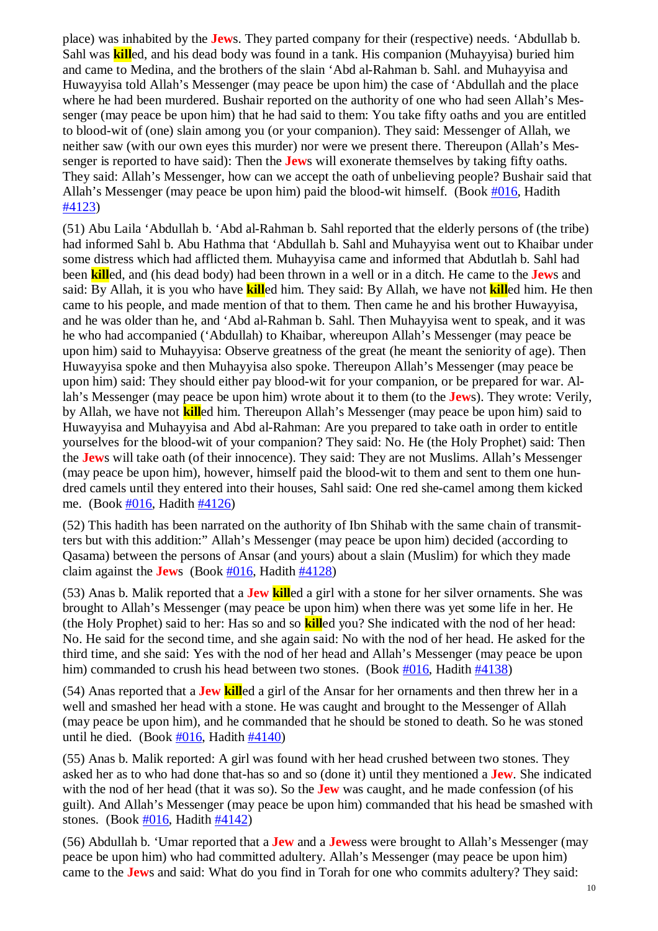place) was inhabited by the **Jew**s. They parted company for their (respective) needs. 'Abdullab b. Sahl was **kill**ed, and his dead body was found in a tank. His companion (Muhayyisa) buried him and came to Medina, and the brothers of the slain 'Abd al-Rahman b. Sahl. and Muhayyisa and Huwayyisa told Allah's Messenger (may peace be upon him) the case of 'Abdullah and the place where he had been murdered. Bushair reported on the authority of one who had seen Allah's Messenger (may peace be upon him) that he had said to them: You take fifty oaths and you are entitled to blood-wit of (one) slain among you (or your companion). They said: Messenger of Allah, we neither saw (with our own eyes this murder) nor were we present there. Thereupon (Allah's Messenger is reported to have said): Then the **Jew**s will exonerate themselves by taking fifty oaths. They said: Allah's Messenger, how can we accept the oath of unbelieving people? Bushair said that Allah's Messenger (may peace be upon him) paid the blood-wit himself. (Book #016, Hadith #4123)

(51) Abu Laila 'Abdullah b. 'Abd al-Rahman b. Sahl reported that the elderly persons of (the tribe) had informed Sahl b. Abu Hathma that 'Abdullah b. Sahl and Muhayyisa went out to Khaibar under some distress which had afflicted them. Muhayyisa came and informed that Abdutlah b. Sahl had been **kill**ed, and (his dead body) had been thrown in a well or in a ditch. He came to the **Jew**s and said: By Allah, it is you who have **kill**ed him. They said: By Allah, we have not **kill**ed him. He then came to his people, and made mention of that to them. Then came he and his brother Huwayyisa, and he was older than he, and 'Abd al-Rahman b. Sahl. Then Muhayyisa went to speak, and it was he who had accompanied ('Abdullah) to Khaibar, whereupon Allah's Messenger (may peace be upon him) said to Muhayyisa: Observe greatness of the great (he meant the seniority of age). Then Huwayyisa spoke and then Muhayyisa also spoke. Thereupon Allah's Messenger (may peace be upon him) said: They should either pay blood-wit for your companion, or be prepared for war. Allah's Messenger (may peace be upon him) wrote about it to them (to the **Jew**s). They wrote: Verily, by Allah, we have not **kill**ed him. Thereupon Allah's Messenger (may peace be upon him) said to Huwayyisa and Muhayyisa and Abd al-Rahman: Are you prepared to take oath in order to entitle yourselves for the blood-wit of your companion? They said: No. He (the Holy Prophet) said: Then the **Jew**s will take oath (of their innocence). They said: They are not Muslims. Allah's Messenger (may peace be upon him), however, himself paid the blood-wit to them and sent to them one hundred camels until they entered into their houses, Sahl said: One red she-camel among them kicked me. (Book #016, Hadith #4126)

(52) This hadith has been narrated on the authority of Ibn Shihab with the same chain of transmitters but with this addition:" Allah's Messenger (may peace be upon him) decided (according to Qasama) between the persons of Ansar (and yours) about a slain (Muslim) for which they made claim against the **Jew**s (Book  $\frac{\text{\#016}}{\text{\#016}}$ , Hadith  $\frac{\text{\#4128}}{\text{\#016}}$ )

(53) Anas b. Malik reported that a **Jew kill**ed a girl with a stone for her silver ornaments. She was brought to Allah's Messenger (may peace be upon him) when there was yet some life in her. He (the Holy Prophet) said to her: Has so and so **kill**ed you? She indicated with the nod of her head: No. He said for the second time, and she again said: No with the nod of her head. He asked for the third time, and she said: Yes with the nod of her head and Allah's Messenger (may peace be upon him) commanded to crush his head between two stones. (Book #016, Hadith #4138)

(54) Anas reported that a **Jew kill**ed a girl of the Ansar for her ornaments and then threw her in a well and smashed her head with a stone. He was caught and brought to the Messenger of Allah (may peace be upon him), and he commanded that he should be stoned to death. So he was stoned until he died. (Book  $\#016$ , Hadith  $\#4140$ )

(55) Anas b. Malik reported: A girl was found with her head crushed between two stones. They asked her as to who had done that-has so and so (done it) until they mentioned a **Jew**. She indicated with the nod of her head (that it was so). So the **Jew** was caught, and he made confession (of his guilt). And Allah's Messenger (may peace be upon him) commanded that his head be smashed with stones. (Book  $\#016$ , Hadith  $\#4142$ )

(56) Abdullah b. 'Umar reported that a **Jew** and a **Jew**ess were brought to Allah's Messenger (may peace be upon him) who had committed adultery. Allah's Messenger (may peace be upon him) came to the **Jew**s and said: What do you find in Torah for one who commits adultery? They said: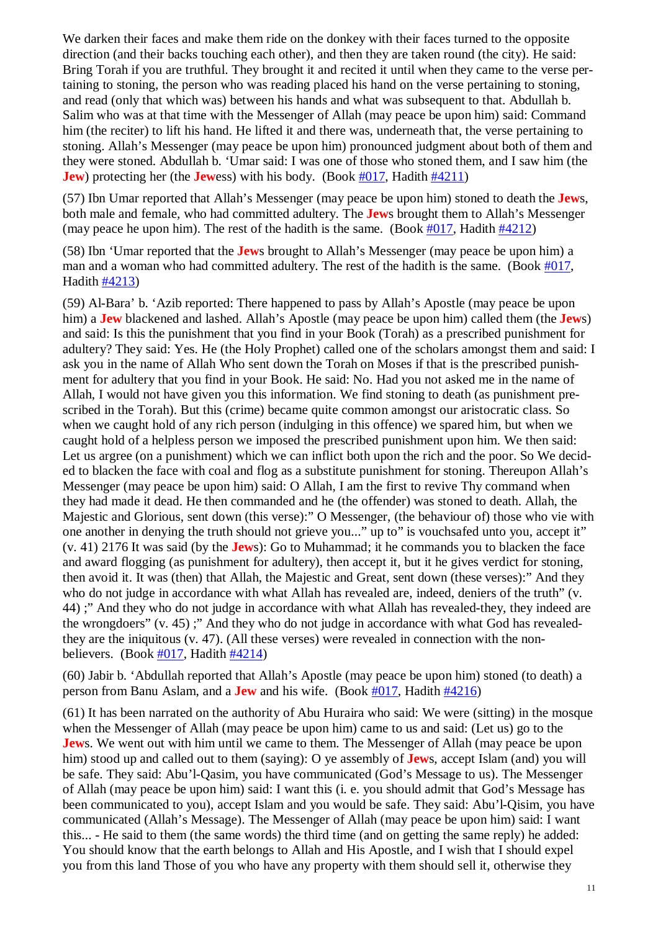We darken their faces and make them ride on the donkey with their faces turned to the opposite direction (and their backs touching each other), and then they are taken round (the city). He said: Bring Torah if you are truthful. They brought it and recited it until when they came to the verse pertaining to stoning, the person who was reading placed his hand on the verse pertaining to stoning, and read (only that which was) between his hands and what was subsequent to that. Abdullah b. Salim who was at that time with the Messenger of Allah (may peace be upon him) said: Command him (the reciter) to lift his hand. He lifted it and there was, underneath that, the verse pertaining to stoning. Allah's Messenger (may peace be upon him) pronounced judgment about both of them and they were stoned. Abdullah b. 'Umar said: I was one of those who stoned them, and I saw him (the **Jew**) protecting her (the **Jew**ess) with his body. (Book #017, Hadith #4211)

(57) Ibn Umar reported that Allah's Messenger (may peace be upon him) stoned to death the **Jew**s, both male and female, who had committed adultery. The **Jew**s brought them to Allah's Messenger (may peace he upon him). The rest of the hadith is the same. (Book  $\#017$ , Hadith  $\#4212$ )

(58) Ibn 'Umar reported that the **Jew**s brought to Allah's Messenger (may peace be upon him) a man and a woman who had committed adultery. The rest of the hadith is the same. (Book  $\#017$ , Hadith #4213)

(59) Al-Bara' b. 'Azib reported: There happened to pass by Allah's Apostle (may peace be upon him) a **Jew** blackened and lashed. Allah's Apostle (may peace be upon him) called them (the **Jew**s) and said: Is this the punishment that you find in your Book (Torah) as a prescribed punishment for adultery? They said: Yes. He (the Holy Prophet) called one of the scholars amongst them and said: I ask you in the name of Allah Who sent down the Torah on Moses if that is the prescribed punishment for adultery that you find in your Book. He said: No. Had you not asked me in the name of Allah, I would not have given you this information. We find stoning to death (as punishment prescribed in the Torah). But this (crime) became quite common amongst our aristocratic class. So when we caught hold of any rich person (indulging in this offence) we spared him, but when we caught hold of a helpless person we imposed the prescribed punishment upon him. We then said: Let us argree (on a punishment) which we can inflict both upon the rich and the poor. So We decided to blacken the face with coal and flog as a substitute punishment for stoning. Thereupon Allah's Messenger (may peace be upon him) said: O Allah, I am the first to revive Thy command when they had made it dead. He then commanded and he (the offender) was stoned to death. Allah, the Majestic and Glorious, sent down (this verse):" O Messenger, (the behaviour of) those who vie with one another in denying the truth should not grieve you..." up to" is vouchsafed unto you, accept it" (v. 41) 2176 It was said (by the **Jew**s): Go to Muhammad; it he commands you to blacken the face and award flogging (as punishment for adultery), then accept it, but it he gives verdict for stoning, then avoid it. It was (then) that Allah, the Majestic and Great, sent down (these verses):" And they who do not judge in accordance with what Allah has revealed are, indeed, deniers of the truth" (v. 44) ;" And they who do not judge in accordance with what Allah has revealed-they, they indeed are the wrongdoers" (v. 45) ;" And they who do not judge in accordance with what God has revealedthey are the iniquitous (v. 47). (All these verses) were revealed in connection with the nonbelievers. (Book  $\#017$ , Hadith  $\#4214$ )

(60) Jabir b. 'Abdullah reported that Allah's Apostle (may peace be upon him) stoned (to death) a person from Banu Aslam, and a **Jew** and his wife. (Book #017, Hadith #4216)

(61) It has been narrated on the authority of Abu Huraira who said: We were (sitting) in the mosque when the Messenger of Allah (may peace be upon him) came to us and said: (Let us) go to the **Jew**s. We went out with him until we came to them. The Messenger of Allah (may peace be upon him) stood up and called out to them (saying): O ye assembly of **Jew**s, accept Islam (and) you will be safe. They said: Abu'l-Qasim, you have communicated (God's Message to us). The Messenger of Allah (may peace be upon him) said: I want this (i. e. you should admit that God's Message has been communicated to you), accept Islam and you would be safe. They said: Abu'l-Qisim, you have communicated (Allah's Message). The Messenger of Allah (may peace be upon him) said: I want this... - He said to them (the same words) the third time (and on getting the same reply) he added: You should know that the earth belongs to Allah and His Apostle, and I wish that I should expel you from this land Those of you who have any property with them should sell it, otherwise they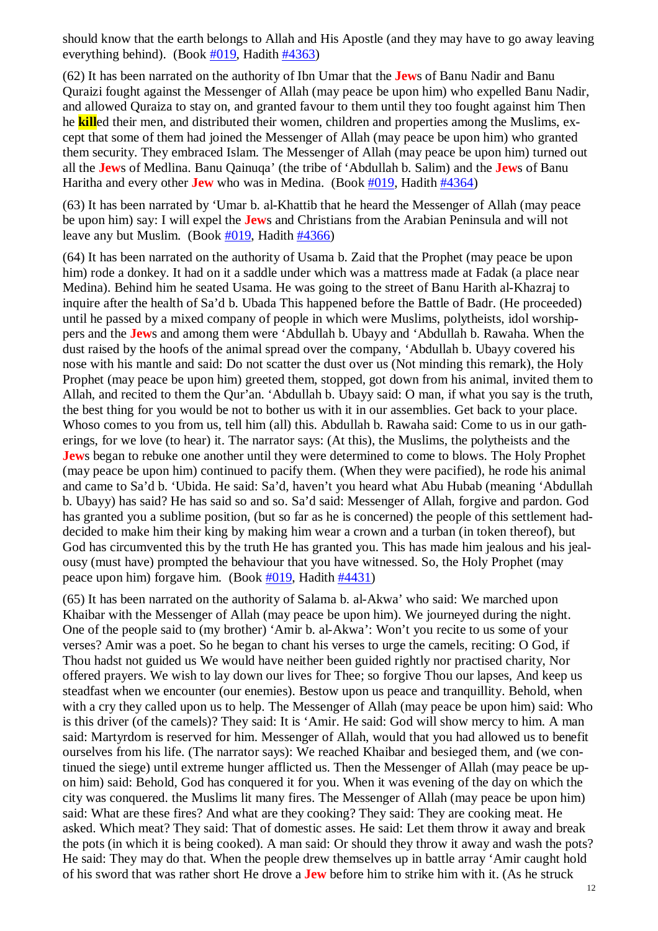should know that the earth belongs to Allah and His Apostle (and they may have to go away leaving everything behind). (Book #019, Hadith #4363)

(62) It has been narrated on the authority of Ibn Umar that the **Jew**s of Banu Nadir and Banu Quraizi fought against the Messenger of Allah (may peace be upon him) who expelled Banu Nadir, and allowed Quraiza to stay on, and granted favour to them until they too fought against him Then he **kill**ed their men, and distributed their women, children and properties among the Muslims, except that some of them had joined the Messenger of Allah (may peace be upon him) who granted them security. They embraced Islam. The Messenger of Allah (may peace be upon him) turned out all the **Jew**s of Medlina. Banu Qainuqa' (the tribe of 'Abdullah b. Salim) and the **Jew**s of Banu Haritha and every other **Jew** who was in Medina. (Book #019, Hadith #4364)

(63) It has been narrated by 'Umar b. al-Khattib that he heard the Messenger of Allah (may peace be upon him) say: I will expel the **Jew**s and Christians from the Arabian Peninsula and will not leave any but Muslim. (Book #019, Hadith #4366)

(64) It has been narrated on the authority of Usama b. Zaid that the Prophet (may peace be upon him) rode a donkey. It had on it a saddle under which was a mattress made at Fadak (a place near Medina). Behind him he seated Usama. He was going to the street of Banu Harith al-Khazraj to inquire after the health of Sa'd b. Ubada This happened before the Battle of Badr. (He proceeded) until he passed by a mixed company of people in which were Muslims, polytheists, idol worshippers and the **Jew**s and among them were 'Abdullah b. Ubayy and 'Abdullah b. Rawaha. When the dust raised by the hoofs of the animal spread over the company, 'Abdullah b. Ubayy covered his nose with his mantle and said: Do not scatter the dust over us (Not minding this remark), the Holy Prophet (may peace be upon him) greeted them, stopped, got down from his animal, invited them to Allah, and recited to them the Qur'an. 'Abdullah b. Ubayy said: O man, if what you say is the truth, the best thing for you would be not to bother us with it in our assemblies. Get back to your place. Whoso comes to you from us, tell him (all) this. Abdullah b. Rawaha said: Come to us in our gatherings, for we love (to hear) it. The narrator says: (At this), the Muslims, the polytheists and the **Jew**s began to rebuke one another until they were determined to come to blows. The Holy Prophet (may peace be upon him) continued to pacify them. (When they were pacified), he rode his animal and came to Sa'd b. 'Ubida. He said: Sa'd, haven't you heard what Abu Hubab (meaning 'Abdullah b. Ubayy) has said? He has said so and so. Sa'd said: Messenger of Allah, forgive and pardon. God has granted you a sublime position, (but so far as he is concerned) the people of this settlement haddecided to make him their king by making him wear a crown and a turban (in token thereof), but God has circumvented this by the truth He has granted you. This has made him jealous and his jealousy (must have) prompted the behaviour that you have witnessed. So, the Holy Prophet (may peace upon him) forgave him. (Book #019, Hadith #4431)

(65) It has been narrated on the authority of Salama b. al-Akwa' who said: We marched upon Khaibar with the Messenger of Allah (may peace be upon him). We journeyed during the night. One of the people said to (my brother) 'Amir b. al-Akwa': Won't you recite to us some of your verses? Amir was a poet. So he began to chant his verses to urge the camels, reciting: O God, if Thou hadst not guided us We would have neither been guided rightly nor practised charity, Nor offered prayers. We wish to lay down our lives for Thee; so forgive Thou our lapses, And keep us steadfast when we encounter (our enemies). Bestow upon us peace and tranquillity. Behold, when with a cry they called upon us to help. The Messenger of Allah (may peace be upon him) said: Who is this driver (of the camels)? They said: It is 'Amir. He said: God will show mercy to him. A man said: Martyrdom is reserved for him. Messenger of Allah, would that you had allowed us to benefit ourselves from his life. (The narrator says): We reached Khaibar and besieged them, and (we continued the siege) until extreme hunger afflicted us. Then the Messenger of Allah (may peace be upon him) said: Behold, God has conquered it for you. When it was evening of the day on which the city was conquered. the Muslims lit many fires. The Messenger of Allah (may peace be upon him) said: What are these fires? And what are they cooking? They said: They are cooking meat. He asked. Which meat? They said: That of domestic asses. He said: Let them throw it away and break the pots (in which it is being cooked). A man said: Or should they throw it away and wash the pots? He said: They may do that. When the people drew themselves up in battle array 'Amir caught hold of his sword that was rather short He drove a **Jew** before him to strike him with it. (As he struck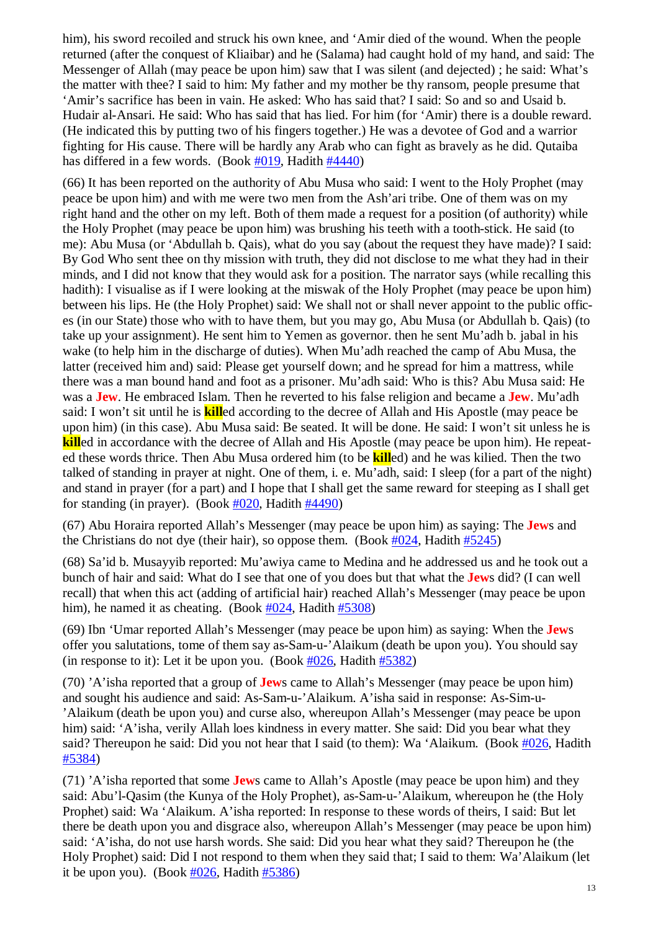him), his sword recoiled and struck his own knee, and 'Amir died of the wound. When the people returned (after the conquest of Kliaibar) and he (Salama) had caught hold of my hand, and said: The Messenger of Allah (may peace be upon him) saw that I was silent (and dejected) ; he said: What's the matter with thee? I said to him: My father and my mother be thy ransom, people presume that 'Amir's sacrifice has been in vain. He asked: Who has said that? I said: So and so and Usaid b. Hudair al-Ansari. He said: Who has said that has lied. For him (for 'Amir) there is a double reward. (He indicated this by putting two of his fingers together.) He was a devotee of God and a warrior fighting for His cause. There will be hardly any Arab who can fight as bravely as he did. Qutaiba has differed in a few words. (Book  $\#019$ , Hadith  $\#4440$ )

(66) It has been reported on the authority of Abu Musa who said: I went to the Holy Prophet (may peace be upon him) and with me were two men from the Ash'ari tribe. One of them was on my right hand and the other on my left. Both of them made a request for a position (of authority) while the Holy Prophet (may peace be upon him) was brushing his teeth with a tooth-stick. He said (to me): Abu Musa (or 'Abdullah b. Qais), what do you say (about the request they have made)? I said: By God Who sent thee on thy mission with truth, they did not disclose to me what they had in their minds, and I did not know that they would ask for a position. The narrator says (while recalling this hadith): I visualise as if I were looking at the miswak of the Holy Prophet (may peace be upon him) between his lips. He (the Holy Prophet) said: We shall not or shall never appoint to the public offices (in our State) those who with to have them, but you may go, Abu Musa (or Abdullah b. Qais) (to take up your assignment). He sent him to Yemen as governor. then he sent Mu'adh b. jabal in his wake (to help him in the discharge of duties). When Mu'adh reached the camp of Abu Musa, the latter (received him and) said: Please get yourself down; and he spread for him a mattress, while there was a man bound hand and foot as a prisoner. Mu'adh said: Who is this? Abu Musa said: He was a **Jew**. He embraced Islam. Then he reverted to his false religion and became a **Jew**. Mu'adh said: I won't sit until he is **kill**ed according to the decree of Allah and His Apostle (may peace be upon him) (in this case). Abu Musa said: Be seated. It will be done. He said: I won't sit unless he is **kill**ed in accordance with the decree of Allah and His Apostle (may peace be upon him). He repeated these words thrice. Then Abu Musa ordered him (to be **kill**ed) and he was kilied. Then the two talked of standing in prayer at night. One of them, i. e. Mu'adh, said: I sleep (for a part of the night) and stand in prayer (for a part) and I hope that I shall get the same reward for steeping as I shall get for standing (in prayer). (Book  $\#020$ , Hadith  $\#4490$ )

(67) Abu Horaira reported Allah's Messenger (may peace be upon him) as saying: The **Jew**s and the Christians do not dye (their hair), so oppose them. (Book  $\#024$ , Hadith  $\#5245$ )

(68) Sa'id b. Musayyib reported: Mu'awiya came to Medina and he addressed us and he took out a bunch of hair and said: What do I see that one of you does but that what the **Jew**s did? (I can well recall) that when this act (adding of artificial hair) reached Allah's Messenger (may peace be upon him), he named it as cheating. (Book #024, Hadith #5308)

(69) Ibn 'Umar reported Allah's Messenger (may peace be upon him) as saying: When the **Jew**s offer you salutations, tome of them say as-Sam-u-'Alaikum (death be upon you). You should say (in response to it): Let it be upon you. (Book  $\frac{\text{H}^2}{\text{H}^2}$ , Hadith  $\frac{\text{H}^2}{\text{H}^2}$ )

(70) 'A'isha reported that a group of **Jew**s came to Allah's Messenger (may peace be upon him) and sought his audience and said: As-Sam-u-'Alaikum. A'isha said in response: As-Sim-u- 'Alaikum (death be upon you) and curse also, whereupon Allah's Messenger (may peace be upon him) said: 'A'isha, verily Allah loes kindness in every matter. She said: Did you bear what they said? Thereupon he said: Did you not hear that I said (to them): Wa 'Alaikum. (Book #026, Hadith #5384)

(71) 'A'isha reported that some **Jew**s came to Allah's Apostle (may peace be upon him) and they said: Abu'l-Qasim (the Kunya of the Holy Prophet), as-Sam-u-'Alaikum, whereupon he (the Holy Prophet) said: Wa 'Alaikum. A'isha reported: In response to these words of theirs, I said: But let there be death upon you and disgrace also, whereupon Allah's Messenger (may peace be upon him) said: 'A'isha, do not use harsh words. She said: Did you hear what they said? Thereupon he (the Holy Prophet) said: Did I not respond to them when they said that; I said to them: Wa'Alaikum (let it be upon you). (Book  $\frac{\text{\#026}}{\text{\#026}}$ , Hadith  $\frac{\text{\#5386}}{\text{\#5386}}$ )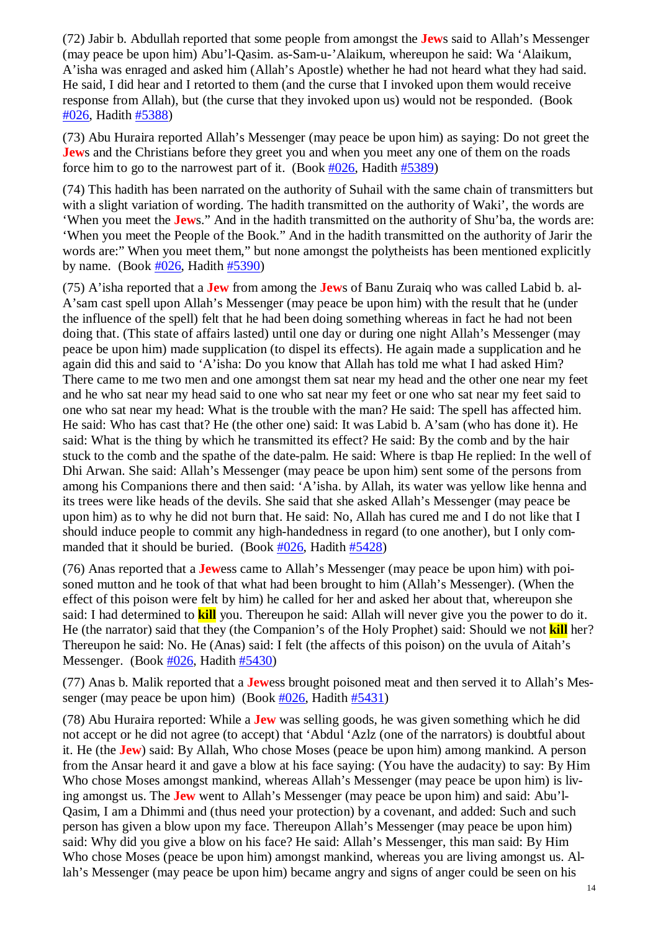(72) Jabir b. Abdullah reported that some people from amongst the **Jew**s said to Allah's Messenger (may peace be upon him) Abu'l-Qasim. as-Sam-u-'Alaikum, whereupon he said: Wa 'Alaikum, A'isha was enraged and asked him (Allah's Apostle) whether he had not heard what they had said. He said, I did hear and I retorted to them (and the curse that I invoked upon them would receive response from Allah), but (the curse that they invoked upon us) would not be responded. (Book #026, Hadith #5388)

(73) Abu Huraira reported Allah's Messenger (may peace be upon him) as saying: Do not greet the **Jews** and the Christians before they greet you and when you meet any one of them on the roads force him to go to the narrowest part of it. (Book  $\#026$ , Hadith  $\#5389$ )

(74) This hadith has been narrated on the authority of Suhail with the same chain of transmitters but with a slight variation of wording. The hadith transmitted on the authority of Waki', the words are 'When you meet the **Jew**s." And in the hadith transmitted on the authority of Shu'ba, the words are: 'When you meet the People of the Book." And in the hadith transmitted on the authority of Jarir the words are:" When you meet them," but none amongst the polytheists has been mentioned explicitly by name. (Book  $\#026$ , Hadith  $\#5390$ )

(75) A'isha reported that a **Jew** from among the **Jew**s of Banu Zuraiq who was called Labid b. al-A'sam cast spell upon Allah's Messenger (may peace be upon him) with the result that he (under the influence of the spell) felt that he had been doing something whereas in fact he had not been doing that. (This state of affairs lasted) until one day or during one night Allah's Messenger (may peace be upon him) made supplication (to dispel its effects). He again made a supplication and he again did this and said to 'A'isha: Do you know that Allah has told me what I had asked Him? There came to me two men and one amongst them sat near my head and the other one near my feet and he who sat near my head said to one who sat near my feet or one who sat near my feet said to one who sat near my head: What is the trouble with the man? He said: The spell has affected him. He said: Who has cast that? He (the other one) said: It was Labid b. A'sam (who has done it). He said: What is the thing by which he transmitted its effect? He said: By the comb and by the hair stuck to the comb and the spathe of the date-palm. He said: Where is tbap He replied: In the well of Dhi Arwan. She said: Allah's Messenger (may peace be upon him) sent some of the persons from among his Companions there and then said: 'A'isha. by Allah, its water was yellow like henna and its trees were like heads of the devils. She said that she asked Allah's Messenger (may peace be upon him) as to why he did not burn that. He said: No, Allah has cured me and I do not like that I should induce people to commit any high-handedness in regard (to one another), but I only commanded that it should be buried. (Book  $\#026$ , Hadith  $\#5428$ )

(76) Anas reported that a **Jew**ess came to Allah's Messenger (may peace be upon him) with poisoned mutton and he took of that what had been brought to him (Allah's Messenger). (When the effect of this poison were felt by him) he called for her and asked her about that, whereupon she said: I had determined to **kill** you. Thereupon he said: Allah will never give you the power to do it. He (the narrator) said that they (the Companion's of the Holy Prophet) said: Should we not **kill** her? Thereupon he said: No. He (Anas) said: I felt (the affects of this poison) on the uvula of Aitah's Messenger. (Book #026, Hadith #5430)

(77) Anas b. Malik reported that a **Jew**ess brought poisoned meat and then served it to Allah's Messenger (may peace be upon him) (Book  $\#026$ , Hadith  $\#5431$ )

(78) Abu Huraira reported: While a **Jew** was selling goods, he was given something which he did not accept or he did not agree (to accept) that 'Abdul 'Azlz (one of the narrators) is doubtful about it. He (the **Jew**) said: By Allah, Who chose Moses (peace be upon him) among mankind. A person from the Ansar heard it and gave a blow at his face saying: (You have the audacity) to say: By Him Who chose Moses amongst mankind, whereas Allah's Messenger (may peace be upon him) is living amongst us. The **Jew** went to Allah's Messenger (may peace be upon him) and said: Abu'l-Qasim, I am a Dhimmi and (thus need your protection) by a covenant, and added: Such and such person has given a blow upon my face. Thereupon Allah's Messenger (may peace be upon him) said: Why did you give a blow on his face? He said: Allah's Messenger, this man said: By Him Who chose Moses (peace be upon him) amongst mankind, whereas you are living amongst us. Allah's Messenger (may peace be upon him) became angry and signs of anger could be seen on his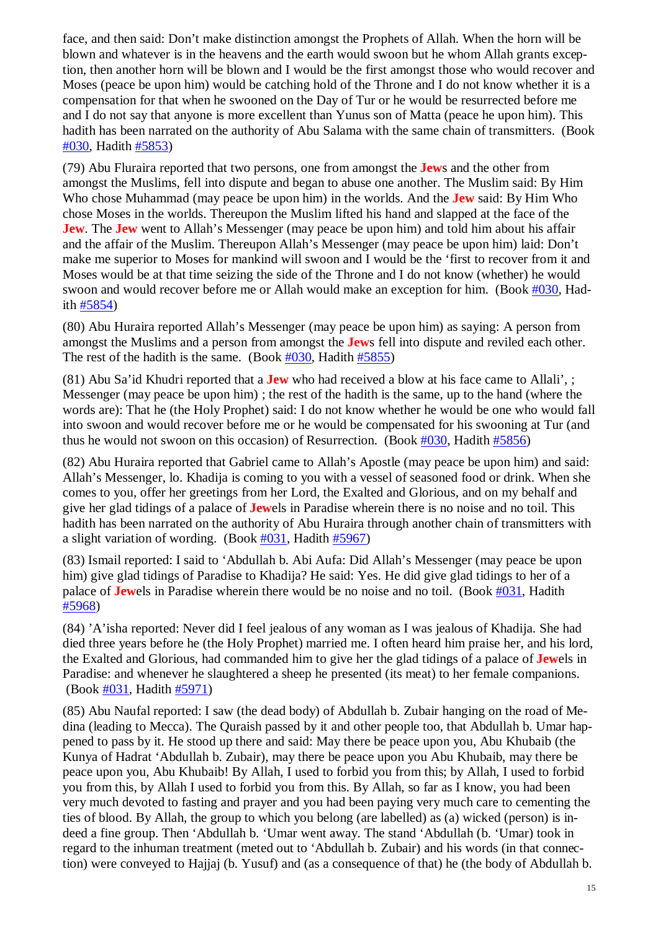face, and then said: Don't make distinction amongst the Prophets of Allah. When the horn will be blown and whatever is in the heavens and the earth would swoon but he whom Allah grants exception, then another horn will be blown and I would be the first amongst those who would recover and Moses (peace be upon him) would be catching hold of the Throne and I do not know whether it is a compensation for that when he swooned on the Day of Tur or he would be resurrected before me and I do not say that anyone is more excellent than Yunus son of Matta (peace he upon him). This hadith has been narrated on the authority of Abu Salama with the same chain of transmitters. (Book #030, Hadith #5853)

(79) Abu Fluraira reported that two persons, one from amongst the **Jew**s and the other from amongst the Muslims, fell into dispute and began to abuse one another. The Muslim said: By Him Who chose Muhammad (may peace be upon him) in the worlds. And the **Jew** said: By Him Who chose Moses in the worlds. Thereupon the Muslim lifted his hand and slapped at the face of the **Jew**. The **Jew** went to Allah's Messenger (may peace be upon him) and told him about his affair and the affair of the Muslim. Thereupon Allah's Messenger (may peace be upon him) laid: Don't make me superior to Moses for mankind will swoon and I would be the 'first to recover from it and Moses would be at that time seizing the side of the Throne and I do not know (whether) he would swoon and would recover before me or Allah would make an exception for him. (Book  $\#030$ , Hadith #5854)

(80) Abu Huraira reported Allah's Messenger (may peace be upon him) as saying: A person from amongst the Muslims and a person from amongst the **Jew**s fell into dispute and reviled each other. The rest of the hadith is the same. (Book  $\frac{\text{H030}}{\text{H030}}$ , Hadith  $\frac{\text{H5855}}{\text{H030}}$ )

(81) Abu Sa'id Khudri reported that a **Jew** who had received a blow at his face came to Allali', ; Messenger (may peace be upon him) ; the rest of the hadith is the same, up to the hand (where the words are): That he (the Holy Prophet) said: I do not know whether he would be one who would fall into swoon and would recover before me or he would be compensated for his swooning at Tur (and thus he would not swoon on this occasion) of Resurrection. (Book #030, Hadith #5856)

(82) Abu Huraira reported that Gabriel came to Allah's Apostle (may peace be upon him) and said: Allah's Messenger, lo. Khadija is coming to you with a vessel of seasoned food or drink. When she comes to you, offer her greetings from her Lord, the Exalted and Glorious, and on my behalf and give her glad tidings of a palace of **Jew**els in Paradise wherein there is no noise and no toil. This hadith has been narrated on the authority of Abu Huraira through another chain of transmitters with a slight variation of wording. (Book  $\#031$ , Hadith  $\#5967$ )

(83) Ismail reported: I said to 'Abdullah b. Abi Aufa: Did Allah's Messenger (may peace be upon him) give glad tidings of Paradise to Khadija? He said: Yes. He did give glad tidings to her of a palace of **Jew**els in Paradise wherein there would be no noise and no toil. (Book #031, Hadith #5968)

(84) 'A'isha reported: Never did I feel jealous of any woman as I was jealous of Khadija. She had died three years before he (the Holy Prophet) married me. I often heard him praise her, and his lord, the Exalted and Glorious, had commanded him to give her the glad tidings of a palace of **Jew**els in Paradise: and whenever he slaughtered a sheep he presented (its meat) to her female companions. (Book #031, Hadith #5971)

(85) Abu Naufal reported: I saw (the dead body) of Abdullah b. Zubair hanging on the road of Medina (leading to Mecca). The Quraish passed by it and other people too, that Abdullah b. Umar happened to pass by it. He stood up there and said: May there be peace upon you, Abu Khubaib (the Kunya of Hadrat 'Abdullah b. Zubair), may there be peace upon you Abu Khubaib, may there be peace upon you, Abu Khubaib! By Allah, I used to forbid you from this; by Allah, I used to forbid you from this, by Allah I used to forbid you from this. By Allah, so far as I know, you had been very much devoted to fasting and prayer and you had been paying very much care to cementing the ties of blood. By Allah, the group to which you belong (are labelled) as (a) wicked (person) is indeed a fine group. Then 'Abdullah b. 'Umar went away. The stand 'Abdullah (b. 'Umar) took in regard to the inhuman treatment (meted out to 'Abdullah b. Zubair) and his words (in that connection) were conveyed to Hajjaj (b. Yusuf) and (as a consequence of that) he (the body of Abdullah b.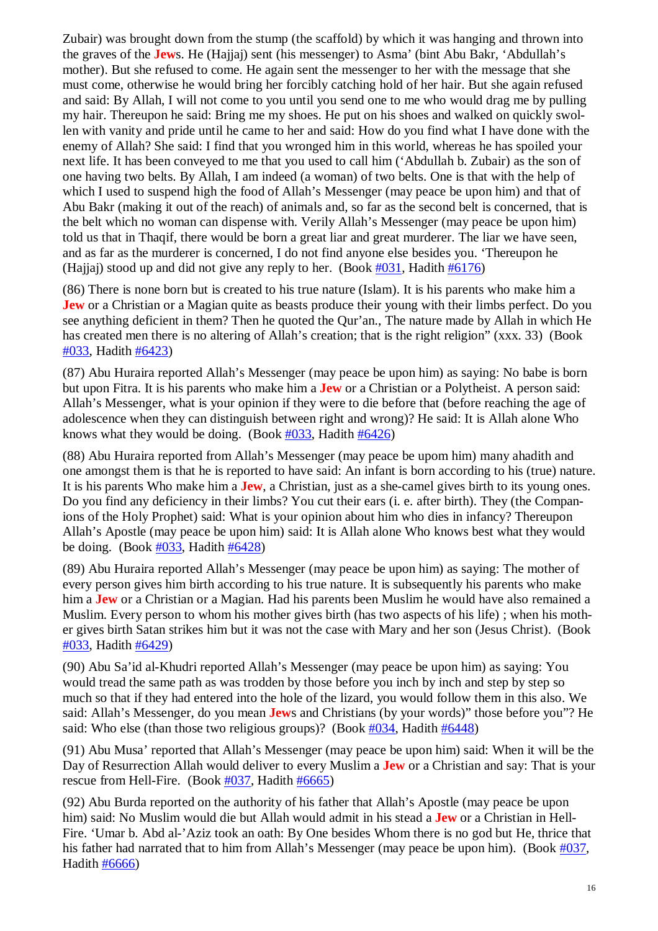Zubair) was brought down from the stump (the scaffold) by which it was hanging and thrown into the graves of the **Jew**s. He (Hajjaj) sent (his messenger) to Asma' (bint Abu Bakr, 'Abdullah's mother). But she refused to come. He again sent the messenger to her with the message that she must come, otherwise he would bring her forcibly catching hold of her hair. But she again refused and said: By Allah, I will not come to you until you send one to me who would drag me by pulling my hair. Thereupon he said: Bring me my shoes. He put on his shoes and walked on quickly swollen with vanity and pride until he came to her and said: How do you find what I have done with the enemy of Allah? She said: I find that you wronged him in this world, whereas he has spoiled your next life. It has been conveyed to me that you used to call him ('Abdullah b. Zubair) as the son of one having two belts. By Allah, I am indeed (a woman) of two belts. One is that with the help of which I used to suspend high the food of Allah's Messenger (may peace be upon him) and that of Abu Bakr (making it out of the reach) of animals and, so far as the second belt is concerned, that is the belt which no woman can dispense with. Verily Allah's Messenger (may peace be upon him) told us that in Thaqif, there would be born a great liar and great murderer. The liar we have seen, and as far as the murderer is concerned, I do not find anyone else besides you. 'Thereupon he (Hajjaj) stood up and did not give any reply to her. (Book  $\frac{\text{H031}}{\text{H031}}$ , Hadith  $\frac{\text{H0176}}{\text{H031}}$ 

(86) There is none born but is created to his true nature (Islam). It is his parents who make him a **Jew** or a Christian or a Magian quite as beasts produce their young with their limbs perfect. Do you see anything deficient in them? Then he quoted the Qur'an., The nature made by Allah in which He has created men there is no altering of Allah's creation; that is the right religion" (xxx. 33) (Book #033, Hadith #6423)

(87) Abu Huraira reported Allah's Messenger (may peace be upon him) as saying: No babe is born but upon Fitra. It is his parents who make him a **Jew** or a Christian or a Polytheist. A person said: Allah's Messenger, what is your opinion if they were to die before that (before reaching the age of adolescence when they can distinguish between right and wrong)? He said: It is Allah alone Who knows what they would be doing. (Book  $\#033$ , Hadith  $\#6426$ )

(88) Abu Huraira reported from Allah's Messenger (may peace be upom him) many ahadith and one amongst them is that he is reported to have said: An infant is born according to his (true) nature. It is his parents Who make him a **Jew**, a Christian, just as a she-camel gives birth to its young ones. Do you find any deficiency in their limbs? You cut their ears (i. e. after birth). They (the Companions of the Holy Prophet) said: What is your opinion about him who dies in infancy? Thereupon Allah's Apostle (may peace be upon him) said: It is Allah alone Who knows best what they would be doing. (Book  $\#033$ , Hadith  $\#6428$ )

(89) Abu Huraira reported Allah's Messenger (may peace be upon him) as saying: The mother of every person gives him birth according to his true nature. It is subsequently his parents who make him a **Jew** or a Christian or a Magian. Had his parents been Muslim he would have also remained a Muslim. Every person to whom his mother gives birth (has two aspects of his life) ; when his mother gives birth Satan strikes him but it was not the case with Mary and her son (Jesus Christ). (Book #033, Hadith #6429)

(90) Abu Sa'id al-Khudri reported Allah's Messenger (may peace be upon him) as saying: You would tread the same path as was trodden by those before you inch by inch and step by step so much so that if they had entered into the hole of the lizard, you would follow them in this also. We said: Allah's Messenger, do you mean **Jew**s and Christians (by your words)" those before you"? He said: Who else (than those two religious groups)? (Book  $\frac{\text{\#034}}{\text{\#034}}$ , Hadith  $\frac{\text{\#6448}}{\text{\#6448}}$ )

(91) Abu Musa' reported that Allah's Messenger (may peace be upon him) said: When it will be the Day of Resurrection Allah would deliver to every Muslim a **Jew** or a Christian and say: That is your rescue from Hell-Fire. (Book #037, Hadith #6665)

(92) Abu Burda reported on the authority of his father that Allah's Apostle (may peace be upon him) said: No Muslim would die but Allah would admit in his stead a **Jew** or a Christian in Hell-Fire. 'Umar b. Abd al-'Aziz took an oath: By One besides Whom there is no god but He, thrice that his father had narrated that to him from Allah's Messenger (may peace be upon him). (Book  $\frac{\text{H037}}{\text{H037}}$ , Hadith **#6666**)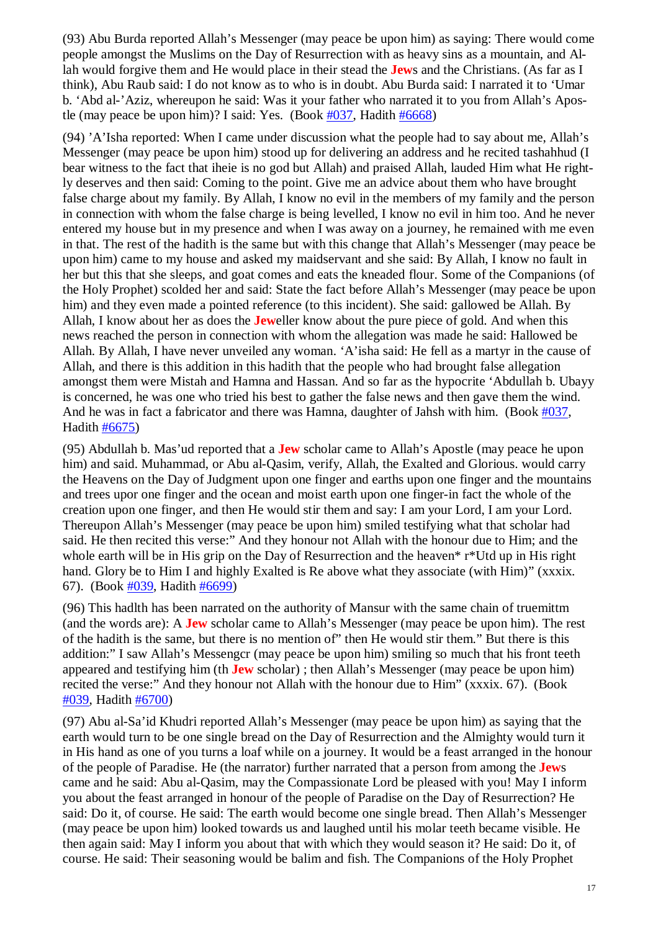(93) Abu Burda reported Allah's Messenger (may peace be upon him) as saying: There would come people amongst the Muslims on the Day of Resurrection with as heavy sins as a mountain, and Allah would forgive them and He would place in their stead the **Jew**s and the Christians. (As far as I think), Abu Raub said: I do not know as to who is in doubt. Abu Burda said: I narrated it to 'Umar b. 'Abd al-'Aziz, whereupon he said: Was it your father who narrated it to you from Allah's Apostle (may peace be upon him)? I said: Yes. (Book  $\#037$ , Hadith  $\#6668$ )

(94) 'A'Isha reported: When I came under discussion what the people had to say about me, Allah's Messenger (may peace be upon him) stood up for delivering an address and he recited tashahhud (I bear witness to the fact that iheie is no god but Allah) and praised Allah, lauded Him what He rightly deserves and then said: Coming to the point. Give me an advice about them who have brought false charge about my family. By Allah, I know no evil in the members of my family and the person in connection with whom the false charge is being levelled, I know no evil in him too. And he never entered my house but in my presence and when I was away on a journey, he remained with me even in that. The rest of the hadith is the same but with this change that Allah's Messenger (may peace be upon him) came to my house and asked my maidservant and she said: By Allah, I know no fault in her but this that she sleeps, and goat comes and eats the kneaded flour. Some of the Companions (of the Holy Prophet) scolded her and said: State the fact before Allah's Messenger (may peace be upon him) and they even made a pointed reference (to this incident). She said: gallowed be Allah. By Allah, I know about her as does the **Jew**eller know about the pure piece of gold. And when this news reached the person in connection with whom the allegation was made he said: Hallowed be Allah. By Allah, I have never unveiled any woman. 'A'isha said: He fell as a martyr in the cause of Allah, and there is this addition in this hadith that the people who had brought false allegation amongst them were Mistah and Hamna and Hassan. And so far as the hypocrite 'Abdullah b. Ubayy is concerned, he was one who tried his best to gather the false news and then gave them the wind. And he was in fact a fabricator and there was Hamna, daughter of Jahsh with him. (Book #037, Hadith #6675)

(95) Abdullah b. Mas'ud reported that a **Jew** scholar came to Allah's Apostle (may peace he upon him) and said. Muhammad, or Abu al-Qasim, verify, Allah, the Exalted and Glorious. would carry the Heavens on the Day of Judgment upon one finger and earths upon one finger and the mountains and trees upor one finger and the ocean and moist earth upon one finger-in fact the whole of the creation upon one finger, and then He would stir them and say: I am your Lord, I am your Lord. Thereupon Allah's Messenger (may peace be upon him) smiled testifying what that scholar had said. He then recited this verse:" And they honour not Allah with the honour due to Him; and the whole earth will be in His grip on the Day of Resurrection and the heaven\*  $r^*U$ td up in His right hand. Glory be to Him I and highly Exalted is Re above what they associate (with Him)" (xxxix. 67). (Book #039, Hadith #6699)

(96) This hadlth has been narrated on the authority of Mansur with the same chain of truemittm (and the words are): A **Jew** scholar came to Allah's Messenger (may peace be upon him). The rest of the hadith is the same, but there is no mention of" then He would stir them." But there is this addition:" I saw Allah's Messengcr (may peace be upon him) smiling so much that his front teeth appeared and testifying him (th **Jew** scholar) ; then Allah's Messenger (may peace be upon him) recited the verse:" And they honour not Allah with the honour due to Him" (xxxix. 67). (Book #039, Hadith #6700)

(97) Abu al-Sa'id Khudri reported Allah's Messenger (may peace be upon him) as saying that the earth would turn to be one single bread on the Day of Resurrection and the Almighty would turn it in His hand as one of you turns a loaf while on a journey. It would be a feast arranged in the honour of the people of Paradise. He (the narrator) further narrated that a person from among the **Jew**s came and he said: Abu al-Qasim, may the Compassionate Lord be pleased with you! May I inform you about the feast arranged in honour of the people of Paradise on the Day of Resurrection? He said: Do it, of course. He said: The earth would become one single bread. Then Allah's Messenger (may peace be upon him) looked towards us and laughed until his molar teeth became visible. He then again said: May I inform you about that with which they would season it? He said: Do it, of course. He said: Their seasoning would be balim and fish. The Companions of the Holy Prophet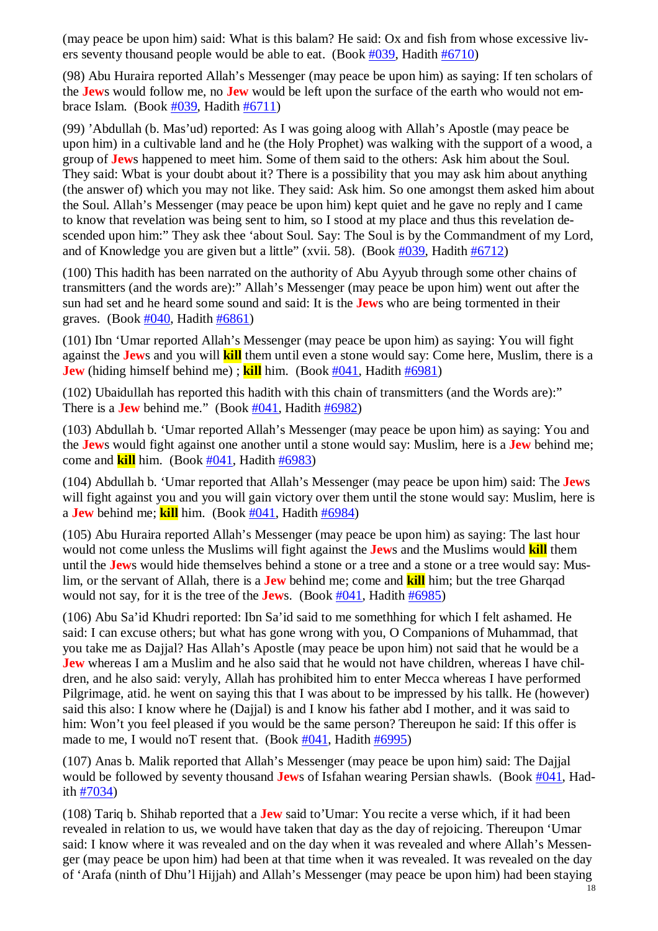(may peace be upon him) said: What is this balam? He said: Ox and fish from whose excessive livers seventy thousand people would be able to eat. (Book  $\frac{\#039}{,}$  Hadith  $\frac{\#6710}{,}$ )

(98) Abu Huraira reported Allah's Messenger (may peace be upon him) as saying: If ten scholars of the **Jew**s would follow me, no **Jew** would be left upon the surface of the earth who would not embrace Islam. (Book  $\#039$ , Hadith  $\#6711$ )

(99) 'Abdullah (b. Mas'ud) reported: As I was going aloog with Allah's Apostle (may peace be upon him) in a cultivable land and he (the Holy Prophet) was walking with the support of a wood, a group of **Jew**s happened to meet him. Some of them said to the others: Ask him about the Soul. They said: Wbat is your doubt about it? There is a possibility that you may ask him about anything (the answer of) which you may not like. They said: Ask him. So one amongst them asked him about the Soul. Allah's Messenger (may peace be upon him) kept quiet and he gave no reply and I came to know that revelation was being sent to him, so I stood at my place and thus this revelation descended upon him:" They ask thee 'about Soul. Say: The Soul is by the Commandment of my Lord, and of Knowledge you are given but a little" (xvii. 58). (Book #039, Hadith #6712)

(100) This hadith has been narrated on the authority of Abu Ayyub through some other chains of transmitters (and the words are):" Allah's Messenger (may peace be upon him) went out after the sun had set and he heard some sound and said: It is the **Jew**s who are being tormented in their graves. (Book  $\#040$ , Hadith  $\#6861$ )

(101) Ibn 'Umar reported Allah's Messenger (may peace be upon him) as saying: You will fight against the **Jew**s and you will **kill** them until even a stone would say: Come here, Muslim, there is a **Jew** (hiding himself behind me); **kill** him. (Book #041, Hadith #6981)

(102) Ubaidullah has reported this hadith with this chain of transmitters (and the Words are):" There is a **Jew** behind me." (Book  $\#041$ , Hadith  $\#6982$ )

(103) Abdullah b. 'Umar reported Allah's Messenger (may peace be upon him) as saying: You and the **Jew**s would fight against one another until a stone would say: Muslim, here is a **Jew** behind me; come and **kill** him. (Book #041, Hadith #6983)

(104) Abdullah b. 'Umar reported that Allah's Messenger (may peace be upon him) said: The **Jew**s will fight against you and you will gain victory over them until the stone would say: Muslim, here is a **Jew** behind me; **kill** him. (Book  $\#041$ , Hadith  $\#6984$ )

(105) Abu Huraira reported Allah's Messenger (may peace be upon him) as saying: The last hour would not come unless the Muslims will fight against the **Jew**s and the Muslims would **kill** them until the **Jew**s would hide themselves behind a stone or a tree and a stone or a tree would say: Muslim, or the servant of Allah, there is a **Jew** behind me; come and **kill** him; but the tree Gharqad would not say, for it is the tree of the **Jew**s. (Book #041, Hadith #6985)

(106) Abu Sa'id Khudri reported: Ibn Sa'id said to me somethhing for which I felt ashamed. He said: I can excuse others; but what has gone wrong with you, O Companions of Muhammad, that you take me as Dajjal? Has Allah's Apostle (may peace be upon him) not said that he would be a **Jew** whereas I am a Muslim and he also said that he would not have children, whereas I have children, and he also said: veryly, Allah has prohibited him to enter Mecca whereas I have performed Pilgrimage, atid. he went on saying this that I was about to be impressed by his tallk. He (however) said this also: I know where he (Dajjal) is and I know his father abd I mother, and it was said to him: Won't you feel pleased if you would be the same person? Thereupon he said: If this offer is made to me, I would noT resent that. (Book  $\#041$ , Hadith  $\#6995$ )

(107) Anas b. Malik reported that Allah's Messenger (may peace be upon him) said: The Dajjal would be followed by seventy thousand **Jew**s of Isfahan wearing Persian shawls. (Book #041, Hadith #7034)

18 (108) Tariq b. Shihab reported that a **Jew** said to'Umar: You recite a verse which, if it had been revealed in relation to us, we would have taken that day as the day of rejoicing. Thereupon 'Umar said: I know where it was revealed and on the day when it was revealed and where Allah's Messenger (may peace be upon him) had been at that time when it was revealed. It was revealed on the day of 'Arafa (ninth of Dhu'l Hijjah) and Allah's Messenger (may peace be upon him) had been staying